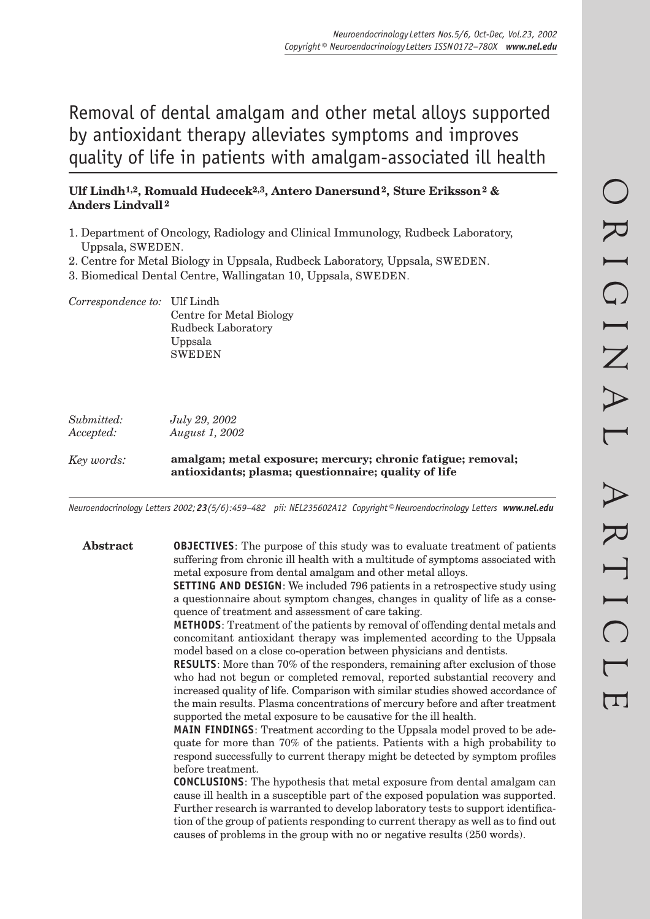# Removal of dental amalgam and other metal alloys supported by antioxidant therapy alleviates symptoms and improves quality of life in patients with amalgam-associated ill health

# **Ulf Lindh1,2, Romuald Hudecek2,3, Antero Danersund 2, Sture Eriksson 2 & Anders Lindvall 2**

- 1. Department of Oncology, Radiology and Clinical Immunology, Rudbeck Laboratory, Uppsala, SWEDEN.
- 2. Centre for Metal Biology in Uppsala, Rudbeck Laboratory, Uppsala, SWEDEN.
- 3. Biomedical Dental Centre, Wallingatan 10, Uppsala, SWEDEN.

*Correspondence to:* Ulf Lindh Centre for Metal Biology Rudbeck Laboratory Uppsala SWEDEN

| Submitted:<br>Accepted: | July 29, 2002<br><i>August 1, 2002</i>                                                                              |  |
|-------------------------|---------------------------------------------------------------------------------------------------------------------|--|
| Key words:              | amalgam; metal exposure; mercury; chronic fatigue; removal;<br>antioxidants; plasma; questionnaire; quality of life |  |

*Neuroendocrinology Letters 2002; 23(5/6):459–482 pii: NEL235602A12 Copyright © Neuroendocrinology Letters www.nel.edu*

**Abstract OBJECTIVES**: The purpose of this study was to evaluate treatment of patients suffering from chronic ill health with a multitude of symptoms associated with metal exposure from dental amalgam and other metal alloys.

**SETTING AND DESIGN**: We included 796 patients in a retrospective study using a questionnaire about symptom changes, changes in quality of life as a consequence of treatment and assessment of care taking.

**METHODS**: Treatment of the patients by removal of offending dental metals and concomitant antioxidant therapy was implemented according to the Uppsala model based on a close co-operation between physicians and dentists.

**RESULTS**: More than 70% of the responders, remaining after exclusion of those who had not begun or completed removal, reported substantial recovery and increased quality of life. Comparison with similar studies showed accordance of the main results. Plasma concentrations of mercury before and after treatment supported the metal exposure to be causative for the ill health.

**MAIN FINDINGS**: Treatment according to the Uppsala model proved to be adequate for more than 70% of the patients. Patients with a high probability to respond successfully to current therapy might be detected by symptom profiles before treatment.

**CONCLUSIONS**: The hypothesis that metal exposure from dental amalgam can cause ill health in a susceptible part of the exposed population was supported. Further research is warranted to develop laboratory tests to support identification of the group of patients responding to current therapy as well as to find out causes of problems in the group with no or negative results (250 words).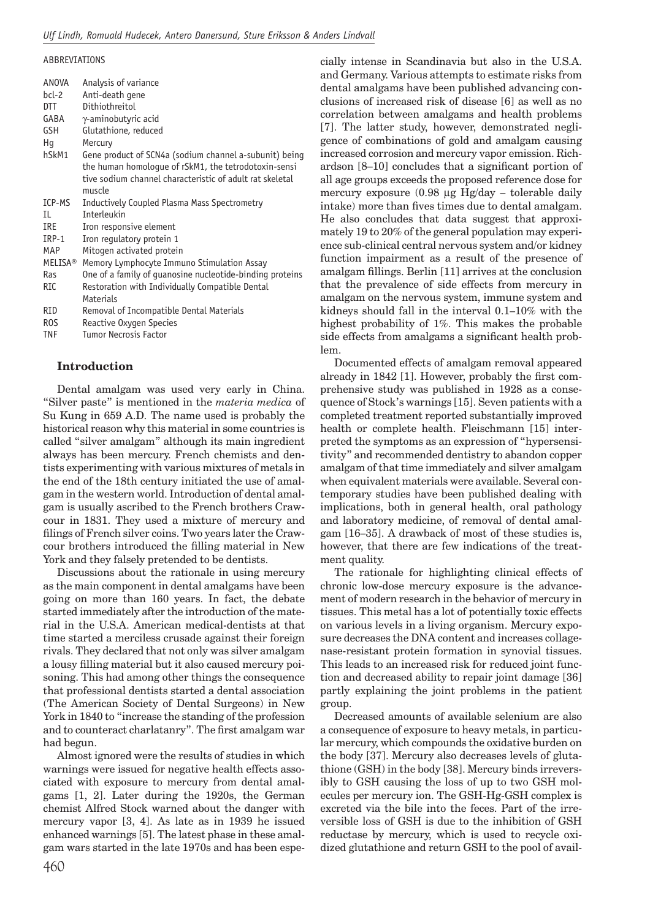#### ABBREVIATIONS

| ANOVA            | Analysis of variance                                     |
|------------------|----------------------------------------------------------|
| bcl-2            | Anti-death gene                                          |
| DTT              | Dithiothreitol                                           |
| GABA             | $\gamma$ -aminobutyric acid                              |
| <b>GSH</b>       | Glutathione, reduced                                     |
| Hq               | Mercury                                                  |
| hSkM1            | Gene product of SCN4a (sodium channel a-subunit) being   |
|                  | the human homologue of rSkM1, the tetrodotoxin-sensi     |
|                  | tive sodium channel characteristic of adult rat skeletal |
|                  | muscle                                                   |
| ICP-MS           | Inductively Coupled Plasma Mass Spectrometry             |
| IL               | Interleukin                                              |
| IRE              | Iron responsive element                                  |
| IRP-1            | Iron regulatory protein 1                                |
| MAP              | Mitogen activated protein                                |
| <b>MELISA®</b>   | Memory Lymphocyte Immuno Stimulation Assay               |
| <b>Ras</b>       | One of a family of quanosine nucleotide-binding proteins |
| RIC              | Restoration with Individually Compatible Dental          |
|                  | Materials                                                |
| <b>RID</b>       | Removal of Incompatible Dental Materials                 |
| R <sub>0</sub> S | Reactive Oxygen Species                                  |
| <b>TNF</b>       | <b>Tumor Necrosis Factor</b>                             |

#### **Introduction**

Dental amalgam was used very early in China. "Silver paste" is mentioned in the *materia medica* of Su Kung in 659 A.D. The name used is probably the historical reason why this material in some countries is called "silver amalgam" although its main ingredient always has been mercury. French chemists and dentists experimenting with various mixtures of metals in the end of the 18th century initiated the use of amalgam in the western world. Introduction of dental amalgam is usually ascribed to the French brothers Crawcour in 1831. They used a mixture of mercury and filings of French silver coins. Two years later the Crawcour brothers introduced the filling material in New York and they falsely pretended to be dentists.

Discussions about the rationale in using mercury as the main component in dental amalgams have been going on more than 160 years. In fact, the debate started immediately after the introduction of the material in the U.S.A. American medical-dentists at that time started a merciless crusade against their foreign rivals. They declared that not only was silver amalgam a lousy filling material but it also caused mercury poisoning. This had among other things the consequence that professional dentists started a dental association (The American Society of Dental Surgeons) in New York in 1840 to "increase the standing of the profession and to counteract charlatanry". The first amalgam war had begun.

Almost ignored were the results of studies in which warnings were issued for negative health effects associated with exposure to mercury from dental amalgams [1, 2]. Later during the 1920s, the German chemist Alfred Stock warned about the danger with mercury vapor [3, 4]. As late as in 1939 he issued enhanced warnings [5]. The latest phase in these amalgam wars started in the late 1970s and has been especially intense in Scandinavia but also in the U.S.A. and Germany. Various attempts to estimate risks from dental amalgams have been published advancing conclusions of increased risk of disease [6] as well as no correlation between amalgams and health problems [7]. The latter study, however, demonstrated negligence of combinations of gold and amalgam causing increased corrosion and mercury vapor emission. Richardson [8–10] concludes that a significant portion of all age groups exceeds the proposed reference dose for mercury exposure (0.98 µg Hg/day – tolerable daily intake) more than fives times due to dental amalgam. He also concludes that data suggest that approximately 19 to 20% of the general population may experience sub-clinical central nervous system and/or kidney function impairment as a result of the presence of amalgam fillings. Berlin [11] arrives at the conclusion that the prevalence of side effects from mercury in amalgam on the nervous system, immune system and kidneys should fall in the interval 0.1–10% with the highest probability of 1%. This makes the probable side effects from amalgams a significant health problem.

Documented effects of amalgam removal appeared already in  $1842$  [1]. However, probably the first comprehensive study was published in 1928 as a consequence of Stock's warnings [15]. Seven patients with a completed treatment reported substantially improved health or complete health. Fleischmann [15] interpreted the symptoms as an expression of "hypersensitivity" and recommended dentistry to abandon copper amalgam of that time immediately and silver amalgam when equivalent materials were available. Several contemporary studies have been published dealing with implications, both in general health, oral pathology and laboratory medicine, of removal of dental amalgam [16–35]. A drawback of most of these studies is, however, that there are few indications of the treatment quality.

The rationale for highlighting clinical effects of chronic low-dose mercury exposure is the advancement of modern research in the behavior of mercury in tissues. This metal has a lot of potentially toxic effects on various levels in a living organism. Mercury exposure decreases the DNA content and increases collagenase-resistant protein formation in synovial tissues. This leads to an increased risk for reduced joint function and decreased ability to repair joint damage [36] partly explaining the joint problems in the patient group.

Decreased amounts of available selenium are also a consequence of exposure to heavy metals, in particular mercury, which compounds the oxidative burden on the body [37]. Mercury also decreases levels of glutathione (GSH) in the body [38]. Mercury binds irreversibly to GSH causing the loss of up to two GSH molecules per mercury ion. The GSH-Hg-GSH complex is excreted via the bile into the feces. Part of the irreversible loss of GSH is due to the inhibition of GSH reductase by mercury, which is used to recycle oxidized glutathione and return GSH to the pool of avail-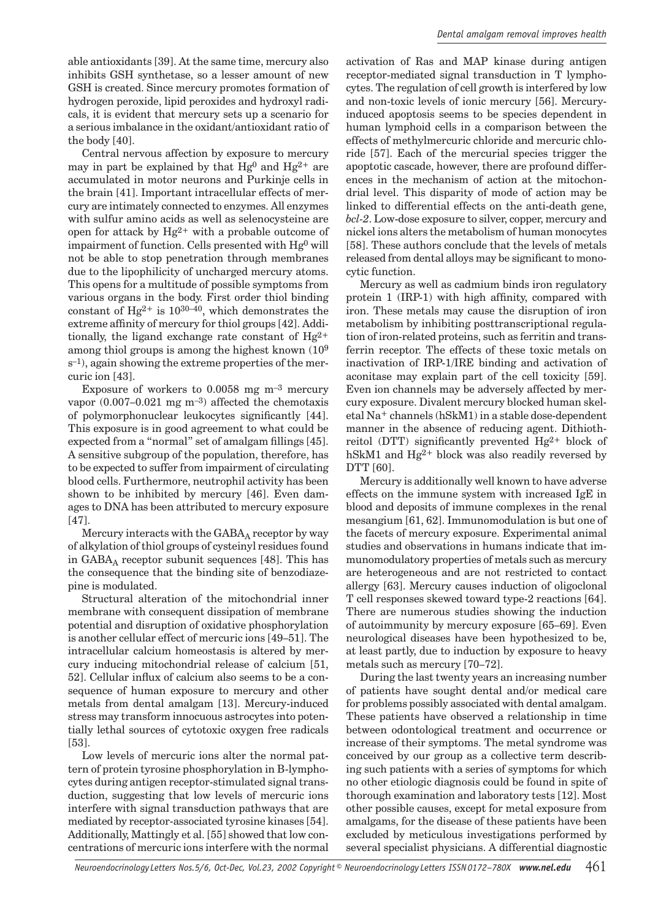able antioxidants [39]. At the same time, mercury also inhibits GSH synthetase, so a lesser amount of new GSH is created. Since mercury promotes formation of hydrogen peroxide, lipid peroxides and hydroxyl radicals, it is evident that mercury sets up a scenario for a serious imbalance in the oxidant/antioxidant ratio of the body [40].

Central nervous affection by exposure to mercury may in part be explained by that  $Hg^0$  and  $Hg^{2+}$  are accumulated in motor neurons and Purkinje cells in the brain [41]. Important intracellular effects of mercury are intimately connected to enzymes. All enzymes with sulfur amino acids as well as selenocysteine are open for attack by Hg2+ with a probable outcome of impairment of function. Cells presented with Hg0 will not be able to stop penetration through membranes due to the lipophilicity of uncharged mercury atoms. This opens for a multitude of possible symptoms from various organs in the body. First order thiol binding constant of Hg<sup>2+</sup> is  $10^{30-40}$ , which demonstrates the extreme affinity of mercury for thiol groups [42]. Additionally, the ligand exchange rate constant of  $Hg^{2+}$ among thiol groups is among the highest known (109 s–1), again showing the extreme properties of the mercuric ion [43].

Exposure of workers to  $0.0058$  mg m<sup>-3</sup> mercury vapor  $(0.007-0.021 \text{ mg m}^{-3})$  affected the chemotaxis of polymorphonuclear leukocytes significantly [44]. This exposure is in good agreement to what could be expected from a "normal" set of amalgam fillings [45]. A sensitive subgroup of the population, therefore, has to be expected to suffer from impairment of circulating blood cells. Furthermore, neutrophil activity has been shown to be inhibited by mercury [46]. Even damages to DNA has been attributed to mercury exposure [47].

Mercury interacts with the  $GABA_A$  receptor by way of alkylation of thiol groups of cysteinyl residues found in  $GABA<sub>A</sub>$  receptor subunit sequences [48]. This has the consequence that the binding site of benzodiazepine is modulated.

Structural alteration of the mitochondrial inner membrane with consequent dissipation of membrane potential and disruption of oxidative phosphorylation is another cellular effect of mercuric ions [49–51]. The intracellular calcium homeostasis is altered by mercury inducing mitochondrial release of calcium [51, 521. Cellular influx of calcium also seems to be a consequence of human exposure to mercury and other metals from dental amalgam [13]. Mercury-induced stress may transform innocuous astrocytes into potentially lethal sources of cytotoxic oxygen free radicals [53].

Low levels of mercuric ions alter the normal pattern of protein tyrosine phosphorylation in B-lymphocytes during antigen receptor-stimulated signal transduction, suggesting that low levels of mercuric ions interfere with signal transduction pathways that are mediated by receptor-associated tyrosine kinases [54]. Additionally, Mattingly et al. [55] showed that low concentrations of mercuric ions interfere with the normal

activation of Ras and MAP kinase during antigen receptor-mediated signal transduction in T lymphocytes. The regulation of cell growth is interfered by low and non-toxic levels of ionic mercury [56]. Mercuryinduced apoptosis seems to be species dependent in human lymphoid cells in a comparison between the effects of methylmercuric chloride and mercuric chloride [57]. Each of the mercurial species trigger the apoptotic cascade, however, there are profound differences in the mechanism of action at the mitochondrial level. This disparity of mode of action may be linked to differential effects on the anti-death gene, *bcl-2*. Low-dose exposure to silver, copper, mercury and nickel ions alters the metabolism of human monocytes [58]. These authors conclude that the levels of metals released from dental alloys may be significant to monocytic function.

Mercury as well as cadmium binds iron regulatory protein  $1$  (IRP-1) with high affinity, compared with iron. These metals may cause the disruption of iron metabolism by inhibiting posttranscriptional regulation of iron-related proteins, such as ferritin and transferrin receptor. The effects of these toxic metals on inactivation of IRP-1/IRE binding and activation of aconitase may explain part of the cell toxicity [59]. Even ion channels may be adversely affected by mercury exposure. Divalent mercury blocked human skeletal Na+ channels (hSkM1) in a stable dose-dependent manner in the absence of reducing agent. Dithiothreitol (DTT) significantly prevented  $Hg^{2+}$  block of hSkM1 and Hg2+ block was also readily reversed by DTT [60].

Mercury is additionally well known to have adverse effects on the immune system with increased IgE in blood and deposits of immune complexes in the renal mesangium [61, 62]. Immunomodulation is but one of the facets of mercury exposure. Experimental animal studies and observations in humans indicate that immunomodulatory properties of metals such as mercury are heterogeneous and are not restricted to contact allergy [63]. Mercury causes induction of oligoclonal T cell responses skewed toward type-2 reactions [64]. There are numerous studies showing the induction of autoimmunity by mercury exposure [65–69]. Even neurological diseases have been hypothesized to be, at least partly, due to induction by exposure to heavy metals such as mercury [70–72].

During the last twenty years an increasing number of patients have sought dental and/or medical care for problems possibly associated with dental amalgam. These patients have observed a relationship in time between odontological treatment and occurrence or increase of their symptoms. The metal syndrome was conceived by our group as a collective term describing such patients with a series of symptoms for which no other etiologic diagnosis could be found in spite of thorough examination and laboratory tests [12]. Most other possible causes, except for metal exposure from amalgams, for the disease of these patients have been excluded by meticulous investigations performed by several specialist physicians. A differential diagnostic

*Neuroendocrinology Letters Nos.5/6, Oct-Dec, Vol.23, 2002 Copyright © Neuroendocrinology Letters ISSN 0172–780X www.nel.edu* 461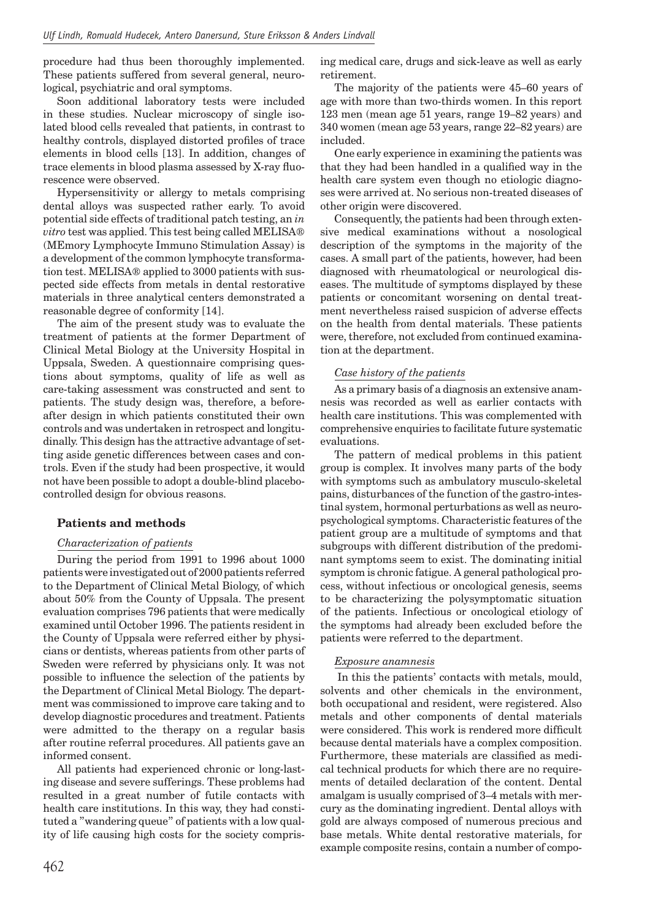procedure had thus been thoroughly implemented. These patients suffered from several general, neurological, psychiatric and oral symptoms.

Soon additional laboratory tests were included in these studies. Nuclear microscopy of single isolated blood cells revealed that patients, in contrast to healthy controls, displayed distorted profiles of trace elements in blood cells [13]. In addition, changes of trace elements in blood plasma assessed by X-ray fluorescence were observed.

Hypersensitivity or allergy to metals comprising dental alloys was suspected rather early. To avoid potential side effects of traditional patch testing, an *in vitro* test was applied. This test being called MELISA® (MEmory Lymphocyte Immuno Stimulation Assay) is a development of the common lymphocyte transformation test. MELISA® applied to 3000 patients with suspected side effects from metals in dental restorative materials in three analytical centers demonstrated a reasonable degree of conformity [14].

The aim of the present study was to evaluate the treatment of patients at the former Department of Clinical Metal Biology at the University Hospital in Uppsala, Sweden. A questionnaire comprising questions about symptoms, quality of life as well as care-taking assessment was constructed and sent to patients. The study design was, therefore, a beforeafter design in which patients constituted their own controls and was undertaken in retrospect and longitudinally. This design has the attractive advantage of setting aside genetic differences between cases and controls. Even if the study had been prospective, it would not have been possible to adopt a double-blind placebocontrolled design for obvious reasons.

# **Patients and methods**

## *Characterization of patients*

During the period from 1991 to 1996 about 1000 patients were investigated out of 2000 patients referred to the Department of Clinical Metal Biology, of which about 50% from the County of Uppsala. The present evaluation comprises 796 patients that were medically examined until October 1996. The patients resident in the County of Uppsala were referred either by physicians or dentists, whereas patients from other parts of Sweden were referred by physicians only. It was not possible to influence the selection of the patients by the Department of Clinical Metal Biology. The department was commissioned to improve care taking and to develop diagnostic procedures and treatment. Patients were admitted to the therapy on a regular basis after routine referral procedures. All patients gave an informed consent.

All patients had experienced chronic or long-lasting disease and severe sufferings. These problems had resulted in a great number of futile contacts with health care institutions. In this way, they had constituted a "wandering queue" of patients with a low quality of life causing high costs for the society comprising medical care, drugs and sick-leave as well as early retirement.

The majority of the patients were 45–60 years of age with more than two-thirds women. In this report 123 men (mean age 51 years, range 19–82 years) and 340 women (mean age 53 years, range 22–82 years) are included.

One early experience in examining the patients was that they had been handled in a qualified way in the health care system even though no etiologic diagnoses were arrived at. No serious non-treated diseases of other origin were discovered.

Consequently, the patients had been through extensive medical examinations without a nosological description of the symptoms in the majority of the cases. A small part of the patients, however, had been diagnosed with rheumatological or neurological diseases. The multitude of symptoms displayed by these patients or concomitant worsening on dental treatment nevertheless raised suspicion of adverse effects on the health from dental materials. These patients were, therefore, not excluded from continued examination at the department.

#### *Case history of the patients*

As a primary basis of a diagnosis an extensive anamnesis was recorded as well as earlier contacts with health care institutions. This was complemented with comprehensive enquiries to facilitate future systematic evaluations.

The pattern of medical problems in this patient group is complex. It involves many parts of the body with symptoms such as ambulatory musculo-skeletal pains, disturbances of the function of the gastro-intestinal system, hormonal perturbations as well as neuropsychological symptoms. Characteristic features of the patient group are a multitude of symptoms and that subgroups with different distribution of the predominant symptoms seem to exist. The dominating initial symptom is chronic fatigue. A general pathological process, without infectious or oncological genesis, seems to be characterizing the polysymptomatic situation of the patients. Infectious or oncological etiology of the symptoms had already been excluded before the patients were referred to the department.

## *Exposure anamnesis*

 In this the patients' contacts with metals, mould, solvents and other chemicals in the environment, both occupational and resident, were registered. Also metals and other components of dental materials were considered. This work is rendered more difficult because dental materials have a complex composition. Furthermore, these materials are classified as medical technical products for which there are no requirements of detailed declaration of the content. Dental amalgam is usually comprised of 3–4 metals with mercury as the dominating ingredient. Dental alloys with gold are always composed of numerous precious and base metals. White dental restorative materials, for example composite resins, contain a number of compo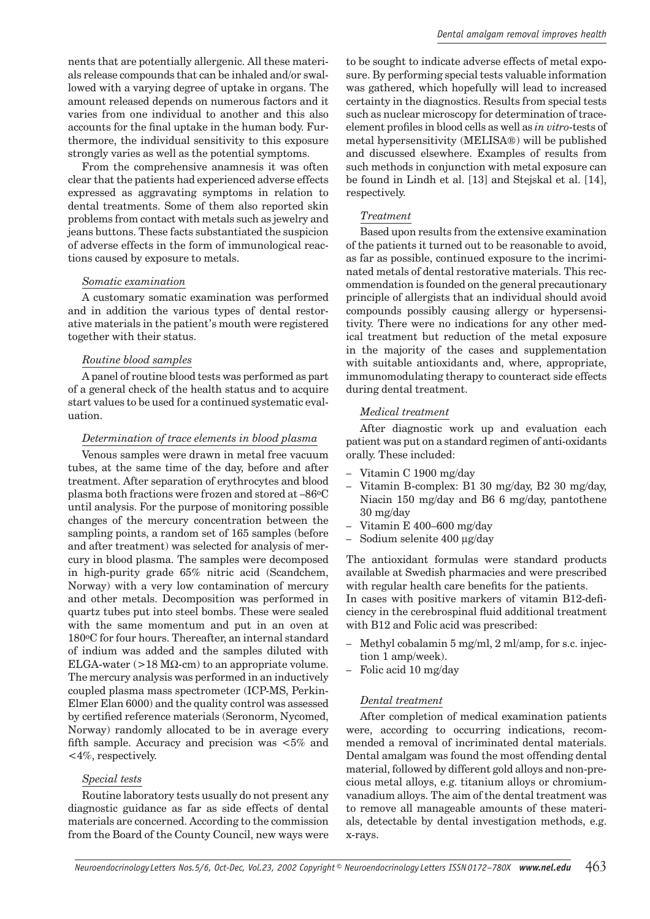nents that are potentially allergenic. All these materials release compounds that can be inhaled and/or swallowed with a varying degree of uptake in organs. The amount released depends on numerous factors and it varies from one individual to another and this also accounts for the final uptake in the human body. Furthermore, the individual sensitivity to this exposure strongly varies as well as the potential symptoms.

From the comprehensive anamnesis it was often clear that the patients had experienced adverse effects expressed as aggravating symptoms in relation to dental treatments. Some of them also reported skin problems from contact with metals such as jewelry and jeans buttons. These facts substantiated the suspicion of adverse effects in the form of immunological reactions caused by exposure to metals.

#### *Somatic examination*

A customary somatic examination was performed and in addition the various types of dental restorative materials in the patient's mouth were registered together with their status.

#### *Routine blood samples*

A panel of routine blood tests was performed as part of a general check of the health status and to acquire start values to be used for a continued systematic evaluation.

#### *Determination of trace elements in blood plasma*

Venous samples were drawn in metal free vacuum tubes, at the same time of the day, before and after treatment. After separation of erythrocytes and blood plasma both fractions were frozen and stored at –86oC until analysis. For the purpose of monitoring possible changes of the mercury concentration between the sampling points, a random set of 165 samples (before and after treatment) was selected for analysis of mercury in blood plasma. The samples were decomposed in high-purity grade 65% nitric acid (Scandchem, Norway) with a very low contamination of mercury and other metals. Decomposition was performed in quartz tubes put into steel bombs. These were sealed with the same momentum and put in an oven at 180oC for four hours. Thereafter, an internal standard of indium was added and the samples diluted with ELGA-water  $(>18 \text{ M}\Omega\text{-cm})$  to an appropriate volume. The mercury analysis was performed in an inductively coupled plasma mass spectrometer (ICP-MS, Perkin-Elmer Elan 6000) and the quality control was assessed by certified reference materials (Seronorm, Nycomed, Norway) randomly allocated to be in average every fifth sample. Accuracy and precision was  $<5\%$  and <4%, respectively.

#### *Special tests*

Routine laboratory tests usually do not present any diagnostic guidance as far as side effects of dental materials are concerned. According to the commission from the Board of the County Council, new ways were to be sought to indicate adverse effects of metal exposure. By performing special tests valuable information was gathered, which hopefully will lead to increased certainty in the diagnostics. Results from special tests such as nuclear microscopy for determination of traceelement profiles in blood cells as well as *in vitro*-tests of metal hypersensitivity (MELISA®) will be published and discussed elsewhere. Examples of results from such methods in conjunction with metal exposure can be found in Lindh et al. [13] and Stejskal et al. [14], respectively.

#### *Treatment*

Based upon results from the extensive examination of the patients it turned out to be reasonable to avoid, as far as possible, continued exposure to the incriminated metals of dental restorative materials. This recommendation is founded on the general precautionary principle of allergists that an individual should avoid compounds possibly causing allergy or hypersensitivity. There were no indications for any other medical treatment but reduction of the metal exposure in the majority of the cases and supplementation with suitable antioxidants and, where, appropriate, immunomodulating therapy to counteract side effects during dental treatment.

#### *Medical treatment*

After diagnostic work up and evaluation each patient was put on a standard regimen of anti-oxidants orally. These included:

- Vitamin C 1900 mg/day
- Vitamin B-complex: B1 30 mg/day, B2 30 mg/day, Niacin 150 mg/day and B6 6 mg/day, pantothene 30 mg/day
- Vitamin E 400–600 mg/day
- Sodium selenite 400 µg/day

The antioxidant formulas were standard products available at Swedish pharmacies and were prescribed with regular health care benefits for the patients.

In cases with positive markers of vitamin B12-deficiency in the cerebrospinal fluid additional treatment with B12 and Folic acid was prescribed:

- Methyl cobalamin 5 mg/ml, 2 ml/amp, for s.c. injection 1 amp/week).
- Folic acid 10 mg/day

#### *Dental treatment*

After completion of medical examination patients were, according to occurring indications, recommended a removal of incriminated dental materials. Dental amalgam was found the most offending dental material, followed by different gold alloys and non-precious metal alloys, e.g. titanium alloys or chromiumvanadium alloys. The aim of the dental treatment was to remove all manageable amounts of these materials, detectable by dental investigation methods, e.g. x-rays.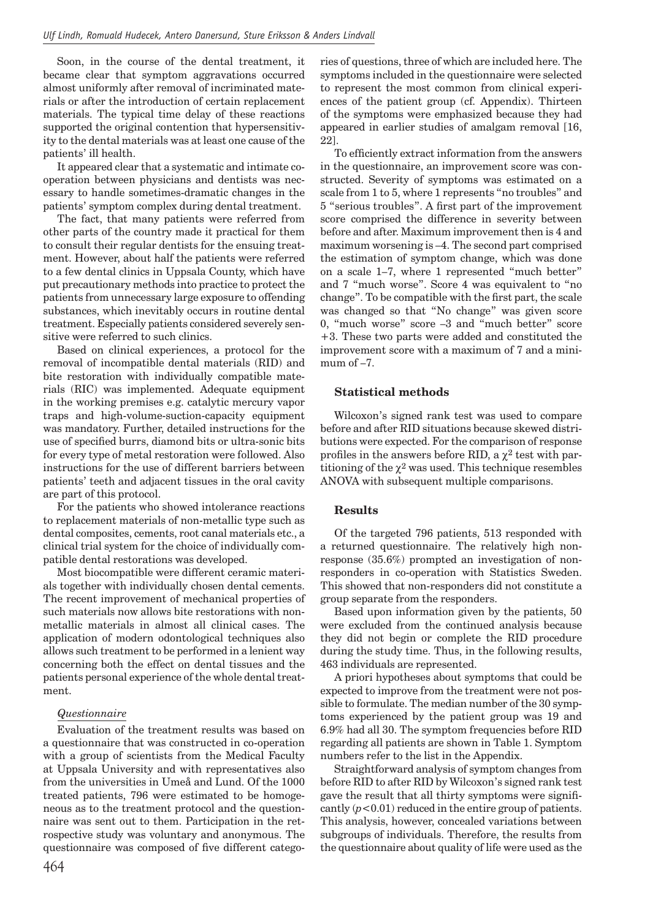Soon, in the course of the dental treatment, it became clear that symptom aggravations occurred almost uniformly after removal of incriminated materials or after the introduction of certain replacement materials. The typical time delay of these reactions supported the original contention that hypersensitivity to the dental materials was at least one cause of the patients' ill health.

It appeared clear that a systematic and intimate cooperation between physicians and dentists was necessary to handle sometimes-dramatic changes in the patients' symptom complex during dental treatment.

The fact, that many patients were referred from other parts of the country made it practical for them to consult their regular dentists for the ensuing treatment. However, about half the patients were referred to a few dental clinics in Uppsala County, which have put precautionary methods into practice to protect the patients from unnecessary large exposure to offending substances, which inevitably occurs in routine dental treatment. Especially patients considered severely sensitive were referred to such clinics.

Based on clinical experiences, a protocol for the removal of incompatible dental materials (RID) and bite restoration with individually compatible materials (RIC) was implemented. Adequate equipment in the working premises e.g. catalytic mercury vapor traps and high-volume-suction-capacity equipment was mandatory. Further, detailed instructions for the use of specified burrs, diamond bits or ultra-sonic bits for every type of metal restoration were followed. Also instructions for the use of different barriers between patients' teeth and adjacent tissues in the oral cavity are part of this protocol.

For the patients who showed intolerance reactions to replacement materials of non-metallic type such as dental composites, cements, root canal materials etc., a clinical trial system for the choice of individually compatible dental restorations was developed.

Most biocompatible were different ceramic materials together with individually chosen dental cements. The recent improvement of mechanical properties of such materials now allows bite restorations with nonmetallic materials in almost all clinical cases. The application of modern odontological techniques also allows such treatment to be performed in a lenient way concerning both the effect on dental tissues and the patients personal experience of the whole dental treatment.

#### *Questionnaire*

Evaluation of the treatment results was based on a questionnaire that was constructed in co-operation with a group of scientists from the Medical Faculty at Uppsala University and with representatives also from the universities in Umeå and Lund. Of the 1000 treated patients, 796 were estimated to be homogeneous as to the treatment protocol and the questionnaire was sent out to them. Participation in the retrospective study was voluntary and anonymous. The questionnaire was composed of five different categories of questions, three of which are included here. The symptoms included in the questionnaire were selected to represent the most common from clinical experiences of the patient group (cf. Appendix). Thirteen of the symptoms were emphasized because they had appeared in earlier studies of amalgam removal [16, 22].

To efficiently extract information from the answers in the questionnaire, an improvement score was constructed. Severity of symptoms was estimated on a scale from 1 to 5, where 1 represents "no troubles" and 5 "serious troubles". A first part of the improvement score comprised the difference in severity between before and after. Maximum improvement then is 4 and maximum worsening is –4. The second part comprised the estimation of symptom change, which was done on a scale 1–7, where 1 represented "much better" and 7 "much worse". Score 4 was equivalent to "no change". To be compatible with the first part, the scale was changed so that "No change" was given score 0, "much worse" score –3 and "much better" score +3. These two parts were added and constituted the improvement score with a maximum of 7 and a minimum of –7.

#### **Statistical methods**

Wilcoxon's signed rank test was used to compare before and after RID situations because skewed distributions were expected. For the comparison of response profiles in the answers before RID, a  $\chi^2$  test with partitioning of the  $\chi^2$  was used. This technique resembles ANOVA with subsequent multiple comparisons.

#### **Results**

Of the targeted 796 patients, 513 responded with a returned questionnaire. The relatively high nonresponse (35.6%) prompted an investigation of nonresponders in co-operation with Statistics Sweden. This showed that non-responders did not constitute a group separate from the responders.

Based upon information given by the patients, 50 were excluded from the continued analysis because they did not begin or complete the RID procedure during the study time. Thus, in the following results, 463 individuals are represented.

A priori hypotheses about symptoms that could be expected to improve from the treatment were not possible to formulate. The median number of the 30 symptoms experienced by the patient group was 19 and 6.9% had all 30. The symptom frequencies before RID regarding all patients are shown in Table 1. Symptom numbers refer to the list in the Appendix.

Straightforward analysis of symptom changes from before RID to after RID by Wilcoxon's signed rank test gave the result that all thirty symptoms were significantly  $(p<0.01)$  reduced in the entire group of patients. This analysis, however, concealed variations between subgroups of individuals. Therefore, the results from the questionnaire about quality of life were used as the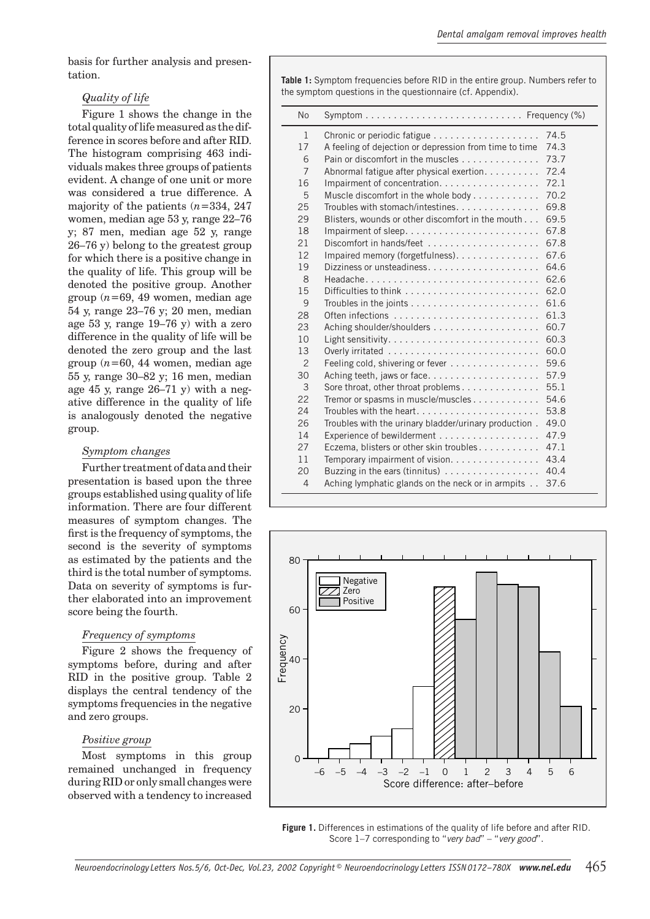basis for further analysis and presentation.

## *Quality of life*

Figure 1 shows the change in the total quality of life measured as the difference in scores before and after RID. The histogram comprising 463 individuals makes three groups of patients evident. A change of one unit or more was considered a true difference. A majority of the patients (*n*=334, 247 women, median age 53 y, range 22–76 y; 87 men, median age 52 y, range 26–76 y) belong to the greatest group for which there is a positive change in the quality of life. This group will be denoted the positive group. Another group (*n*=69, 49 women, median age 54 y, range 23–76 y; 20 men, median age 53 y, range 19–76 y) with a zero difference in the quality of life will be denoted the zero group and the last group  $(n=60, 44$  women, median age 55 y, range 30–82 y; 16 men, median age 45 y, range 26–71 y) with a negative difference in the quality of life is analogously denoted the negative group.

#### *Symptom changes*

Further treatment of data and their presentation is based upon the three groups established using quality of life information. There are four different measures of symptom changes. The first is the frequency of symptoms, the second is the severity of symptoms as estimated by the patients and the third is the total number of symptoms. Data on severity of symptoms is further elaborated into an improvement score being the fourth.

## *Frequency of symptoms*

Figure 2 shows the frequency of symptoms before, during and after RID in the positive group. Table 2 displays the central tendency of the symptoms frequencies in the negative and zero groups.

## *Positive group*

Most symptoms in this group remained unchanged in frequency during RID or only small changes were observed with a tendency to increased

**Table 1:** Symptom frequencies before RID in the entire group. Numbers refer to the symptom questions in the questionnaire (cf. Appendix).

| <b>No</b>      | $Symptom \ldots \ldots \ldots \ldots \ldots \ldots \ldots \ldots \ldots$ Frequency $(\%)$ |      |
|----------------|-------------------------------------------------------------------------------------------|------|
| $\mathbf{1}$   |                                                                                           | 74.5 |
| 17             | A feeling of dejection or depression from time to time                                    | 74.3 |
| 6              | Pain or discomfort in the muscles                                                         | 73.7 |
| $\overline{7}$ | Abnormal fatigue after physical exertion.                                                 | 72.4 |
| 16             | Impairment of concentration.                                                              | 72.1 |
| 5              | Muscle discomfort in the whole body                                                       | 70.2 |
| 25             | Troubles with stomach/intestines                                                          | 69.8 |
| 29             | Blisters, wounds or other discomfort in the mouth                                         | 69.5 |
| 18             | Impairment of sleep. $\dots \dots \dots \dots \dots \dots \dots \dots$                    | 67.8 |
| 21             | Discomfort in hands/feet                                                                  | 67.8 |
| 12             | Impaired memory (forgetfulness).                                                          | 67.6 |
| 19             |                                                                                           | 64.6 |
| 8              |                                                                                           | 62.6 |
| 15             |                                                                                           | 62.0 |
| 9              | Troubles in the joints $\ldots \ldots \ldots \ldots \ldots \ldots \ldots$                 | 61.6 |
| 28             | Often infections                                                                          | 61.3 |
| 23             |                                                                                           | 60.7 |
| 10             |                                                                                           | 60.3 |
| 13             |                                                                                           | 60.0 |
| $\overline{2}$ | Feeling cold, shivering or fever                                                          | 59.6 |
| 30             |                                                                                           | 57.9 |
| 3              | Sore throat, other throat problems                                                        | 55.1 |
| 22             | Tremor or spasms in muscle/muscles                                                        | 54.6 |
| 24             | Troubles with the heart                                                                   | 53.8 |
| 26             | Troubles with the urinary bladder/urinary production.                                     | 49.0 |
| 14             | Experience of bewilderment                                                                | 47.9 |
| 27             | Eczema, blisters or other skin troubles                                                   | 47.1 |
| 11             | Temporary impairment of vision.                                                           | 43.4 |
| 20             | Buzzing in the ears (tinnitus)                                                            | 40.4 |
| $\overline{4}$ | Aching lymphatic glands on the neck or in armpits                                         | 37.6 |



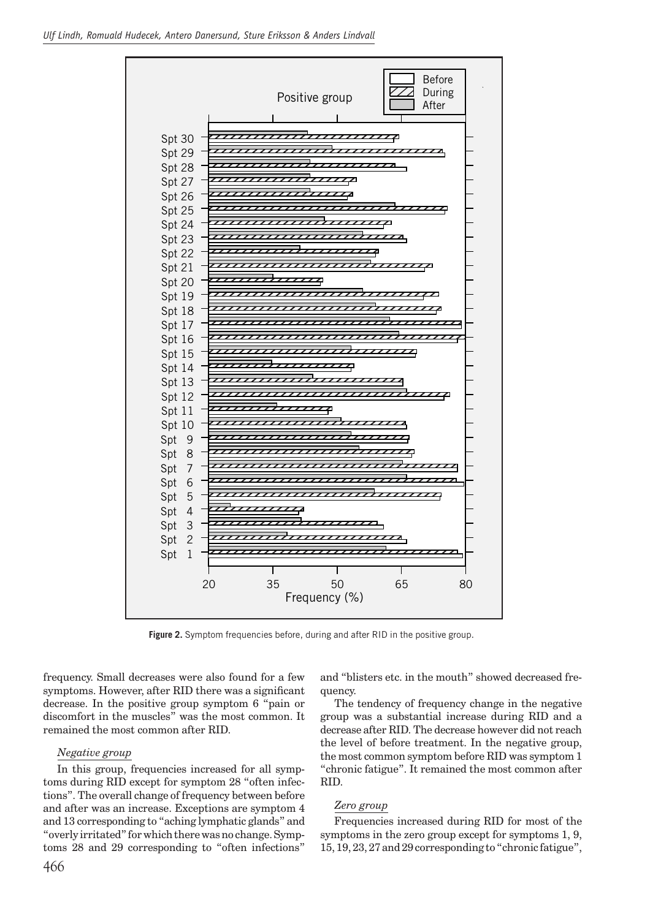

**Figure 2.** Symptom frequencies before, during and after RID in the positive group.

frequency. Small decreases were also found for a few symptoms. However, after RID there was a significant decrease. In the positive group symptom 6 "pain or discomfort in the muscles" was the most common. It remained the most common after RID.

#### *Negative group*

In this group, frequencies increased for all symptoms during RID except for symptom 28 "often infections". The overall change of frequency between before and after was an increase. Exceptions are symptom 4 and 13 corresponding to "aching lymphatic glands" and "overly irritated" for which there was no change. Symptoms 28 and 29 corresponding to "often infections" and "blisters etc. in the mouth" showed decreased frequency.

The tendency of frequency change in the negative group was a substantial increase during RID and a decrease after RID. The decrease however did not reach the level of before treatment. In the negative group, the most common symptom before RID was symptom 1 "chronic fatigue". It remained the most common after RID.

#### *Zero group*

Frequencies increased during RID for most of the symptoms in the zero group except for symptoms 1, 9, 15, 19, 23, 27 and 29 corresponding to "chronic fatigue",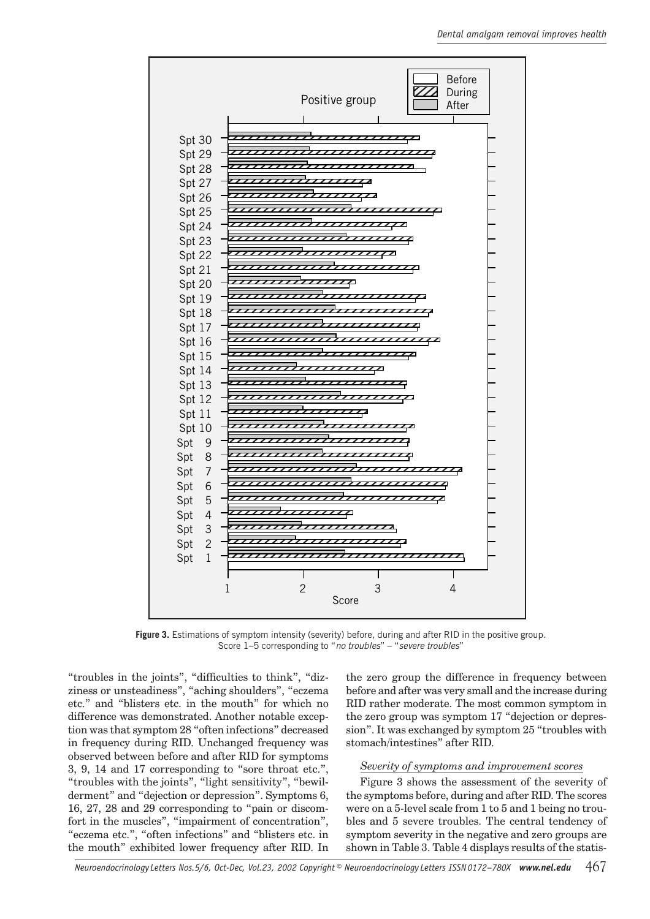

**Figure 3.** Estimations of symptom intensity (severity) before, during and after RID in the positive group. Score 1–5 corresponding to "*no troubles*" – "*severe troubles*"

"troubles in the joints", "difficulties to think", "dizziness or unsteadiness", "aching shoulders", "eczema etc." and "blisters etc. in the mouth" for which no difference was demonstrated. Another notable exception was that symptom 28 "often infections" decreased in frequency during RID. Unchanged frequency was observed between before and after RID for symptoms 3, 9, 14 and 17 corresponding to "sore throat etc.", "troubles with the joints", "light sensitivity", "bewilderment" and "dejection or depression". Symptoms 6, 16, 27, 28 and 29 corresponding to "pain or discomfort in the muscles", "impairment of concentration", "eczema etc.", "often infections" and "blisters etc. in the mouth" exhibited lower frequency after RID. In the zero group the difference in frequency between before and after was very small and the increase during RID rather moderate. The most common symptom in the zero group was symptom 17 "dejection or depression". It was exchanged by symptom 25 "troubles with stomach/intestines" after RID.

#### *Severity of symptoms and improvement scores*

Figure 3 shows the assessment of the severity of the symptoms before, during and after RID. The scores were on a 5-level scale from 1 to 5 and 1 being no troubles and 5 severe troubles. The central tendency of symptom severity in the negative and zero groups are shown in Table 3. Table 4 displays results of the statis-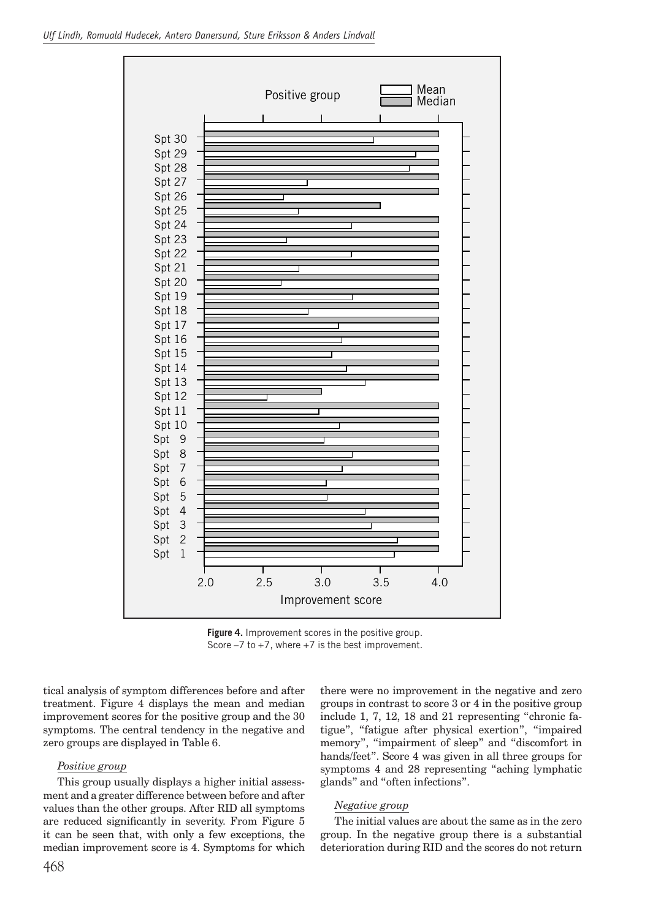

**Figure 4.** Improvement scores in the positive group. Score  $-7$  to  $+7$ , where  $+7$  is the best improvement.

tical analysis of symptom differences before and after treatment. Figure 4 displays the mean and median improvement scores for the positive group and the 30 symptoms. The central tendency in the negative and zero groups are displayed in Table 6.

#### *Positive group*

This group usually displays a higher initial assessment and a greater difference between before and after values than the other groups. After RID all symptoms are reduced significantly in severity. From Figure 5 it can be seen that, with only a few exceptions, the median improvement score is 4. Symptoms for which

there were no improvement in the negative and zero groups in contrast to score 3 or 4 in the positive group include 1, 7, 12, 18 and 21 representing "chronic fatigue", "fatigue after physical exertion", "impaired memory", "impairment of sleep" and "discomfort in hands/feet". Score 4 was given in all three groups for symptoms 4 and 28 representing "aching lymphatic glands" and "often infections".

#### *Negative group*

The initial values are about the same as in the zero group. In the negative group there is a substantial deterioration during RID and the scores do not return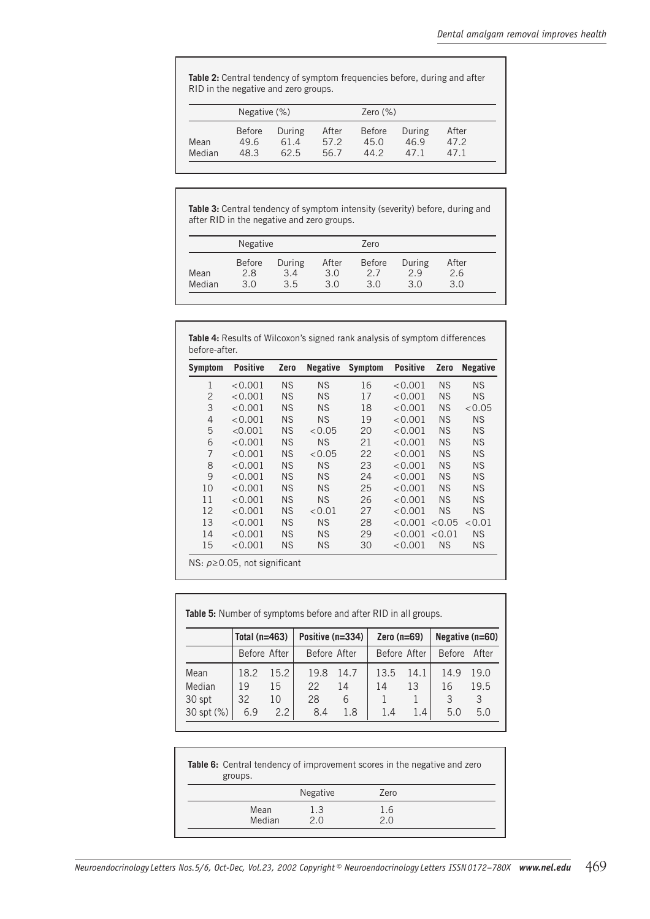**Table 2:** Central tendency of symptom frequencies before, during and after RID in the negative and zero groups.

|                | Negative (%)                  |                        |                      | Zero $(\%)$                   |                        |                      |  |
|----------------|-------------------------------|------------------------|----------------------|-------------------------------|------------------------|----------------------|--|
| Mean<br>Median | <b>Before</b><br>49.6<br>48.3 | During<br>61.4<br>62.5 | After<br>57.2<br>567 | <b>Before</b><br>45.0<br>44.2 | During<br>46.9<br>47 1 | After<br>47.2<br>471 |  |

**Table 3:** Central tendency of symptom intensity (severity) before, during and after RID in the negative and zero groups.

|        | Negative             |               |              | Zero                 |               |              |
|--------|----------------------|---------------|--------------|----------------------|---------------|--------------|
| Mean   | <b>Before</b><br>2.8 | During<br>3.4 | After<br>3.0 | <b>Before</b><br>2.7 | During<br>2.9 | After<br>2.6 |
| Median | 3.0                  | 3.5           | 30           | 3.0                  | 3.0           | 3.0          |

| <b>Symptom</b> | <b>Positive</b> | Zero      | <b>Negative</b> | <b>Symptom</b> | <b>Positive</b> | Zero      | <b>Negative</b> |
|----------------|-----------------|-----------|-----------------|----------------|-----------------|-----------|-----------------|
| 1              | < 0.001         | ΝS        | <b>NS</b>       | 16             | < 0.001         | <b>NS</b> | <b>NS</b>       |
| $\overline{2}$ | < 0.001         | <b>NS</b> | <b>NS</b>       | 17             | < 0.001         | <b>NS</b> | <b>NS</b>       |
| 3              | < 0.001         | <b>NS</b> | <b>NS</b>       | 18             | < 0.001         | <b>NS</b> | < 0.05          |
| $\overline{4}$ | < 0.001         | <b>NS</b> | <b>NS</b>       | 19             | < 0.001         | ΝS        | <b>NS</b>       |
| 5              | < 0.001         | <b>NS</b> | < 0.05          | 20             | < 0.001         | ΝS        | <b>NS</b>       |
| 6              | < 0.001         | <b>NS</b> | <b>NS</b>       | 21             | < 0.001         | <b>NS</b> | <b>NS</b>       |
| 7              | < 0.001         | <b>NS</b> | < 0.05          | 22             | < 0.001         | <b>NS</b> | <b>NS</b>       |
| 8              | < 0.001         | <b>NS</b> | <b>NS</b>       | 23             | < 0.001         | <b>NS</b> | <b>NS</b>       |
| 9              | < 0.001         | <b>NS</b> | <b>NS</b>       | 24             | < 0.001         | <b>NS</b> | <b>NS</b>       |
| 10             | < 0.001         | <b>NS</b> | <b>NS</b>       | 25             | < 0.001         | <b>NS</b> | <b>NS</b>       |
| 11             | < 0.001         | ΝS        | <b>NS</b>       | 26             | < 0.001         | <b>NS</b> | <b>NS</b>       |
| 12             | < 0.001         | <b>NS</b> | < 0.01          | 27             | < 0.001         | <b>NS</b> | <b>NS</b>       |
| 13             | < 0.001         | <b>NS</b> | <b>NS</b>       | 28             | < 0.001         | < 0.05    | < 0.01          |
| 14             | < 0.001         | NS.       | <b>NS</b>       | 29             | < 0.001         | < 0.01    | <b>NS</b>       |
| 15             | < 0.001         | ΝS        | <b>NS</b>       | 30             | < 0.001         | <b>NS</b> | <b>NS</b>       |

| <b>Table 5:</b> Number of symptoms before and after RID in all groups.  |      |              |              |      |      |              |               |       |  |  |
|-------------------------------------------------------------------------|------|--------------|--------------|------|------|--------------|---------------|-------|--|--|
| Total $(n=463)$<br>Positive (n=334)<br>Negative (n=60)<br>Zero $(n=69)$ |      |              |              |      |      |              |               |       |  |  |
|                                                                         |      | Before After | Before After |      |      | Before After | <b>Before</b> | After |  |  |
| Mean                                                                    | 18.2 | 15.2         | 19.8         | 14.7 | 13.5 | 14.1         | 14.9          | 19.0  |  |  |
| Median                                                                  | 19   | 15           | 22           | 14   | 14   | 13           | 16            | 19.5  |  |  |
| 30 spt                                                                  | 32   | 10           | 28           | 6    |      |              | 3             | 3     |  |  |
| 30 spt (%)                                                              | 6.9  | 2.2          | 8.4          | 1.8  | 1.4  | 1.4          | 5.0           | 5.0   |  |  |

| <b>Table 6:</b> Central tendency of improvement scores in the negative and zero<br>groups. |                 |      |  |  |  |  |
|--------------------------------------------------------------------------------------------|-----------------|------|--|--|--|--|
|                                                                                            | <b>Negative</b> | Zero |  |  |  |  |
| Mean                                                                                       | 1.3             | 1.6  |  |  |  |  |
| Median                                                                                     | 2 N             | 2 በ  |  |  |  |  |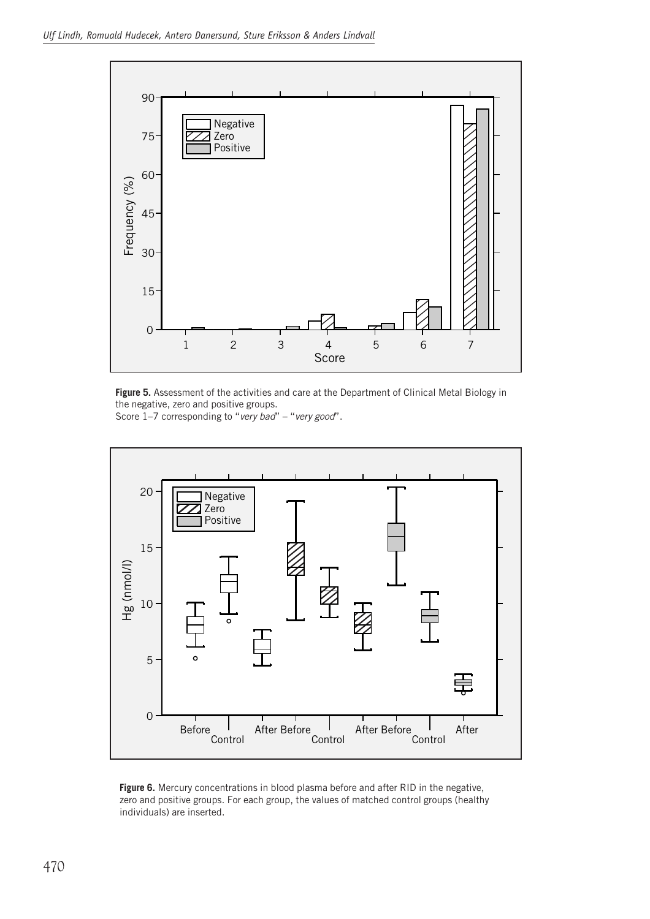

**Figure 5.** Assessment of the activities and care at the Department of Clinical Metal Biology in the negative, zero and positive groups. Score 1–7 corresponding to "*very bad*" – "*very good*".



Figure 6. Mercury concentrations in blood plasma before and after RID in the negative, zero and positive groups. For each group, the values of matched control groups (healthy individuals) are inserted.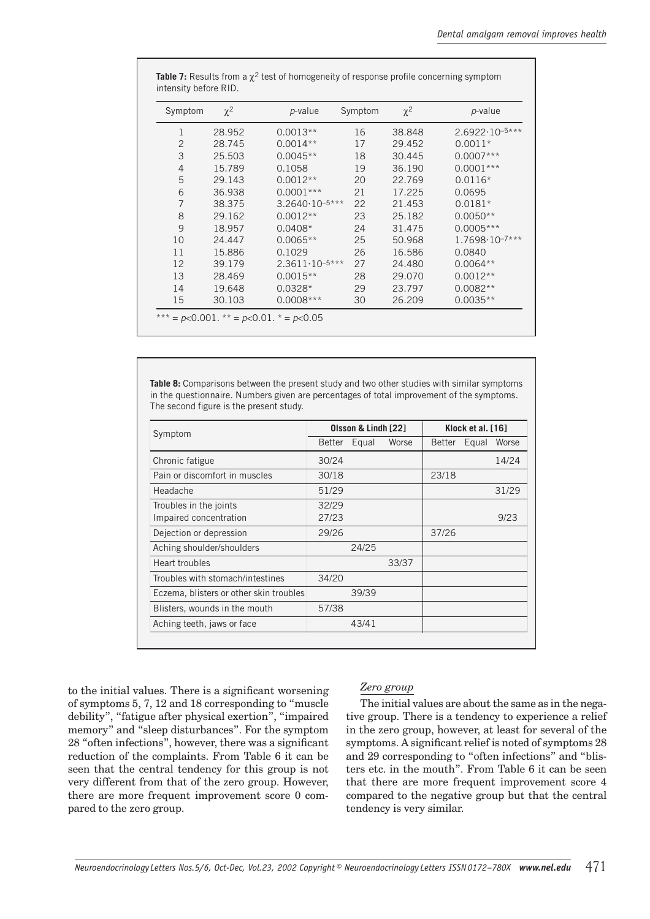| Symptom        | $\chi^2$ | <i>p</i> -value           | Symptom | $\chi^2$ | p-value                   |
|----------------|----------|---------------------------|---------|----------|---------------------------|
| 1              | 28.952   | $0.0013**$                | 16      | 38.848   | $2.6922 \cdot 10^{-5***}$ |
| $\overline{2}$ | 28.745   | $0.0014**$                | 17      | 29.452   | $0.0011*$                 |
| 3              | 25.503   | $0.0045**$                | 18      | 30.445   | $0.0007***$               |
| $\overline{4}$ | 15.789   | 0.1058                    | 19      | 36.190   | $0.0001***$               |
| 5              | 29.143   | $0.0012**$                | 20      | 22.769   | $0.0116*$                 |
| 6              | 36.938   | $0.0001***$               | 21      | 17.225   | 0.0695                    |
| $\overline{7}$ | 38.375   | $3.2640 \cdot 10^{-5***}$ | 22      | 21.453   | $0.0181*$                 |
| 8              | 29.162   | $0.0012**$                | 23      | 25.182   | $0.0050**$                |
| 9              | 18.957   | $0.0408*$                 | 24      | 31.475   | $0.0005***$               |
| 10             | 24.447   | $0.0065**$                | 25      | 50.968   | $1.7698 \cdot 10^{-7***}$ |
| 11             | 15.886   | 0.1029                    | 26      | 16.586   | 0.0840                    |
| 12             | 39.179   | $2.3611 \cdot 10^{-5***}$ | 27      | 24.480   | $0.0064**$                |
| 13             | 28.469   | $0.0015**$                | 28      | 29.070   | $0.0012**$                |
| 14             | 19.648   | $0.0328*$                 | 29      | 23.797   | $0.0082**$                |
| 15             | 30.103   | $0.0008***$               | 30      | 26.209   | $0.0035**$                |

**Table 7:** Results from a  $\chi^2$  test of homogeneity of response profile concerning symptom intensity before RID.

**Table 8:** Comparisons between the present study and two other studies with similar symptoms in the questionnaire. Numbers given are percentages of total improvement of the symptoms. The second figure is the present study.

| Symptom                                          |                | Olsson & Lindh [22] |       | Klock et al. [16] |       |       |
|--------------------------------------------------|----------------|---------------------|-------|-------------------|-------|-------|
|                                                  | Better         | Equal               | Worse | <b>Better</b>     | Equal | Worse |
| Chronic fatigue                                  | 30/24          |                     |       |                   |       | 14/24 |
| Pain or discomfort in muscles                    | 30/18          |                     |       | 23/18             |       |       |
| Headache                                         | 51/29          |                     |       |                   |       | 31/29 |
| Troubles in the joints<br>Impaired concentration | 32/29<br>27/23 |                     |       |                   |       | 9/23  |
| Dejection or depression                          | 29/26          |                     |       | 37/26             |       |       |
| Aching shoulder/shoulders                        |                | 24/25               |       |                   |       |       |
| Heart troubles                                   |                |                     | 33/37 |                   |       |       |
| Troubles with stomach/intestines                 | 34/20          |                     |       |                   |       |       |
| Eczema, blisters or other skin troubles          |                | 39/39               |       |                   |       |       |
| Blisters, wounds in the mouth                    | 57/38          |                     |       |                   |       |       |
| Aching teeth, jaws or face                       |                | 43/41               |       |                   |       |       |

to the initial values. There is a significant worsening of symptoms 5, 7, 12 and 18 corresponding to "muscle debility", "fatigue after physical exertion", "impaired memory" and "sleep disturbances". For the symptom 28 "often infections", however, there was a significant reduction of the complaints. From Table 6 it can be seen that the central tendency for this group is not very different from that of the zero group. However, there are more frequent improvement score 0 compared to the zero group.

## *Zero group*

The initial values are about the same as in the negative group. There is a tendency to experience a relief in the zero group, however, at least for several of the symptoms. A significant relief is noted of symptoms 28 and 29 corresponding to "often infections" and "blisters etc. in the mouth". From Table 6 it can be seen that there are more frequent improvement score 4 compared to the negative group but that the central tendency is very similar.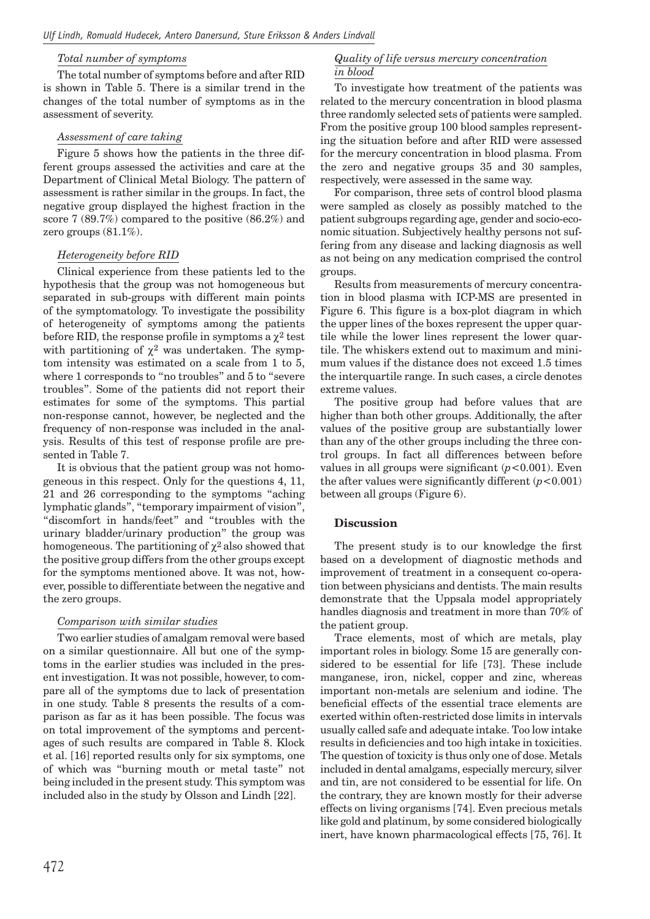## *Total number of symptoms*

The total number of symptoms before and after RID is shown in Table 5. There is a similar trend in the changes of the total number of symptoms as in the assessment of severity.

#### *Assessment of care taking*

Figure 5 shows how the patients in the three different groups assessed the activities and care at the Department of Clinical Metal Biology. The pattern of assessment is rather similar in the groups. In fact, the negative group displayed the highest fraction in the score 7 (89.7%) compared to the positive (86.2%) and zero groups (81.1%).

#### *Heterogeneity before RID*

Clinical experience from these patients led to the hypothesis that the group was not homogeneous but separated in sub-groups with different main points of the symptomatology. To investigate the possibility of heterogeneity of symptoms among the patients before RID, the response profile in symptoms a  $\chi^2$  test with partitioning of  $\chi^2$  was undertaken. The symptom intensity was estimated on a scale from 1 to 5, where 1 corresponds to "no troubles" and 5 to "severe troubles". Some of the patients did not report their estimates for some of the symptoms. This partial non-response cannot, however, be neglected and the frequency of non-response was included in the analysis. Results of this test of response profile are presented in Table 7.

It is obvious that the patient group was not homogeneous in this respect. Only for the questions 4, 11, 21 and 26 corresponding to the symptoms "aching lymphatic glands", "temporary impairment of vision", "discomfort in hands/feet" and "troubles with the urinary bladder/urinary production" the group was homogeneous. The partitioning of  $\chi^2$  also showed that the positive group differs from the other groups except for the symptoms mentioned above. It was not, however, possible to differentiate between the negative and the zero groups.

## *Comparison with similar studies*

Two earlier studies of amalgam removal were based on a similar questionnaire. All but one of the symptoms in the earlier studies was included in the present investigation. It was not possible, however, to compare all of the symptoms due to lack of presentation in one study. Table 8 presents the results of a comparison as far as it has been possible. The focus was on total improvement of the symptoms and percentages of such results are compared in Table 8. Klock et al. [16] reported results only for six symptoms, one of which was "burning mouth or metal taste" not being included in the present study. This symptom was included also in the study by Olsson and Lindh [22].

#### *Quality of life versus mercury concentration in blood*

To investigate how treatment of the patients was related to the mercury concentration in blood plasma three randomly selected sets of patients were sampled. From the positive group 100 blood samples representing the situation before and after RID were assessed for the mercury concentration in blood plasma. From the zero and negative groups 35 and 30 samples, respectively, were assessed in the same way.

For comparison, three sets of control blood plasma were sampled as closely as possibly matched to the patient subgroups regarding age, gender and socio-economic situation. Subjectively healthy persons not suffering from any disease and lacking diagnosis as well as not being on any medication comprised the control groups.

Results from measurements of mercury concentration in blood plasma with ICP-MS are presented in Figure 6. This figure is a box-plot diagram in which the upper lines of the boxes represent the upper quartile while the lower lines represent the lower quartile. The whiskers extend out to maximum and minimum values if the distance does not exceed 1.5 times the interquartile range. In such cases, a circle denotes extreme values.

The positive group had before values that are higher than both other groups. Additionally, the after values of the positive group are substantially lower than any of the other groups including the three control groups. In fact all differences between before values in all groups were significant  $(p<0.001)$ . Even the after values were significantly different  $(p<0.001)$ between all groups (Figure 6).

# **Discussion**

The present study is to our knowledge the first based on a development of diagnostic methods and improvement of treatment in a consequent co-operation between physicians and dentists. The main results demonstrate that the Uppsala model appropriately handles diagnosis and treatment in more than 70% of the patient group.

Trace elements, most of which are metals, play important roles in biology. Some 15 are generally considered to be essential for life [73]. These include manganese, iron, nickel, copper and zinc, whereas important non-metals are selenium and iodine. The beneficial effects of the essential trace elements are exerted within often-restricted dose limits in intervals usually called safe and adequate intake. Too low intake results in deficiencies and too high intake in toxicities. The question of toxicity is thus only one of dose. Metals included in dental amalgams, especially mercury, silver and tin, are not considered to be essential for life. On the contrary, they are known mostly for their adverse effects on living organisms [74]. Even precious metals like gold and platinum, by some considered biologically inert, have known pharmacological effects [75, 76]. It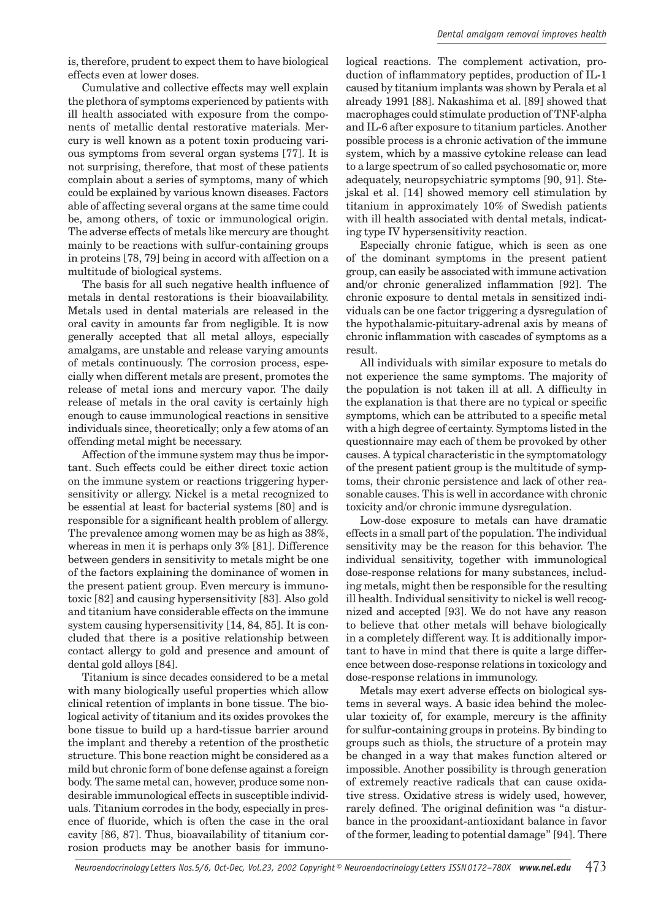is, therefore, prudent to expect them to have biological effects even at lower doses.

Cumulative and collective effects may well explain the plethora of symptoms experienced by patients with ill health associated with exposure from the components of metallic dental restorative materials. Mercury is well known as a potent toxin producing various symptoms from several organ systems [77]. It is not surprising, therefore, that most of these patients complain about a series of symptoms, many of which could be explained by various known diseases. Factors able of affecting several organs at the same time could be, among others, of toxic or immunological origin. The adverse effects of metals like mercury are thought mainly to be reactions with sulfur-containing groups in proteins [78, 79] being in accord with affection on a multitude of biological systems.

The basis for all such negative health influence of metals in dental restorations is their bioavailability. Metals used in dental materials are released in the oral cavity in amounts far from negligible. It is now generally accepted that all metal alloys, especially amalgams, are unstable and release varying amounts of metals continuously. The corrosion process, especially when different metals are present, promotes the release of metal ions and mercury vapor. The daily release of metals in the oral cavity is certainly high enough to cause immunological reactions in sensitive individuals since, theoretically; only a few atoms of an offending metal might be necessary.

Affection of the immune system may thus be important. Such effects could be either direct toxic action on the immune system or reactions triggering hypersensitivity or allergy. Nickel is a metal recognized to be essential at least for bacterial systems [80] and is responsible for a significant health problem of allergy. The prevalence among women may be as high as 38%, whereas in men it is perhaps only 3% [81]. Difference between genders in sensitivity to metals might be one of the factors explaining the dominance of women in the present patient group. Even mercury is immunotoxic [82] and causing hypersensitivity [83]. Also gold and titanium have considerable effects on the immune system causing hypersensitivity [14, 84, 85]. It is concluded that there is a positive relationship between contact allergy to gold and presence and amount of dental gold alloys [84].

Titanium is since decades considered to be a metal with many biologically useful properties which allow clinical retention of implants in bone tissue. The biological activity of titanium and its oxides provokes the bone tissue to build up a hard-tissue barrier around the implant and thereby a retention of the prosthetic structure. This bone reaction might be considered as a mild but chronic form of bone defense against a foreign body. The same metal can, however, produce some nondesirable immunological effects in susceptible individuals. Titanium corrodes in the body, especially in presence of fluoride, which is often the case in the oral cavity [86, 87]. Thus, bioavailability of titanium corrosion products may be another basis for immuno-

logical reactions. The complement activation, production of inflammatory peptides, production of IL-1 caused by titanium implants was shown by Perala et al already 1991 [88]. Nakashima et al. [89] showed that macrophages could stimulate production of TNF-alpha and IL-6 after exposure to titanium particles. Another possible process is a chronic activation of the immune system, which by a massive cytokine release can lead to a large spectrum of so called psychosomatic or, more adequately, neuropsychiatric symptoms [90, 91]. Stejskal et al. [14] showed memory cell stimulation by titanium in approximately 10% of Swedish patients with ill health associated with dental metals, indicating type IV hypersensitivity reaction.

Especially chronic fatigue, which is seen as one of the dominant symptoms in the present patient group, can easily be associated with immune activation and/or chronic generalized inflammation [92]. The chronic exposure to dental metals in sensitized individuals can be one factor triggering a dysregulation of the hypothalamic-pituitary-adrenal axis by means of chronic inflammation with cascades of symptoms as a result.

All individuals with similar exposure to metals do not experience the same symptoms. The majority of the population is not taken ill at all. A difficulty in the explanation is that there are no typical or specific symptoms, which can be attributed to a specific metal with a high degree of certainty. Symptoms listed in the questionnaire may each of them be provoked by other causes. A typical characteristic in the symptomatology of the present patient group is the multitude of symptoms, their chronic persistence and lack of other reasonable causes. This is well in accordance with chronic toxicity and/or chronic immune dysregulation.

Low-dose exposure to metals can have dramatic effects in a small part of the population. The individual sensitivity may be the reason for this behavior. The individual sensitivity, together with immunological dose-response relations for many substances, including metals, might then be responsible for the resulting ill health. Individual sensitivity to nickel is well recognized and accepted [93]. We do not have any reason to believe that other metals will behave biologically in a completely different way. It is additionally important to have in mind that there is quite a large difference between dose-response relations in toxicology and dose-response relations in immunology.

Metals may exert adverse effects on biological systems in several ways. A basic idea behind the molecular toxicity of, for example, mercury is the affinity for sulfur-containing groups in proteins. By binding to groups such as thiols, the structure of a protein may be changed in a way that makes function altered or impossible. Another possibility is through generation of extremely reactive radicals that can cause oxidative stress. Oxidative stress is widely used, however, rarely defined. The original definition was "a disturbance in the prooxidant-antioxidant balance in favor of the former, leading to potential damage" [94]. There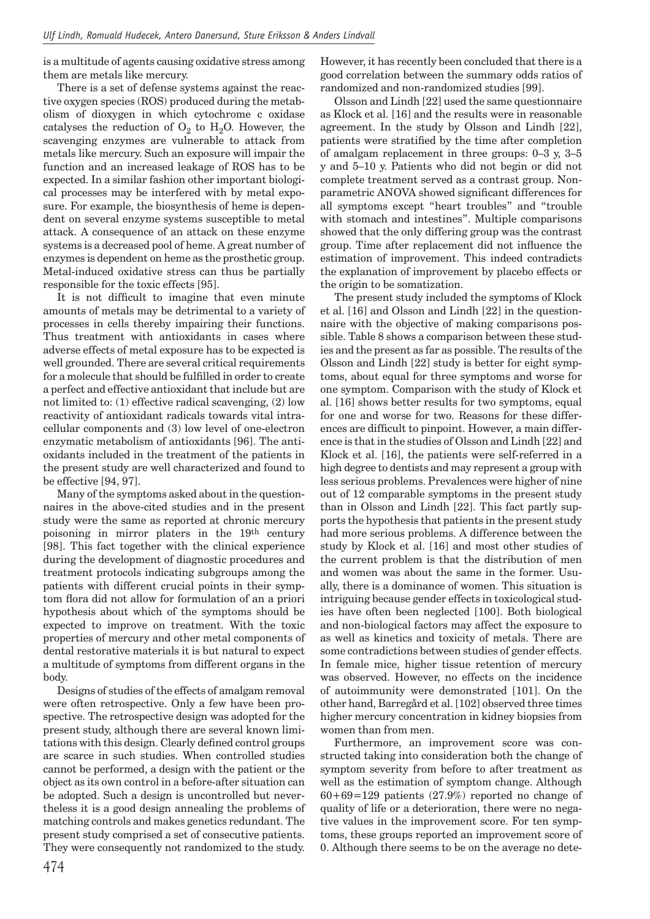is a multitude of agents causing oxidative stress among them are metals like mercury.

There is a set of defense systems against the reactive oxygen species (ROS) produced during the metabolism of dioxygen in which cytochrome c oxidase catalyses the reduction of  $O_2$  to  $H_2O$ . However, the scavenging enzymes are vulnerable to attack from metals like mercury. Such an exposure will impair the function and an increased leakage of ROS has to be expected. In a similar fashion other important biological processes may be interfered with by metal exposure. For example, the biosynthesis of heme is dependent on several enzyme systems susceptible to metal attack. A consequence of an attack on these enzyme systems is a decreased pool of heme. A great number of enzymes is dependent on heme as the prosthetic group. Metal-induced oxidative stress can thus be partially responsible for the toxic effects [95].

It is not difficult to imagine that even minute amounts of metals may be detrimental to a variety of processes in cells thereby impairing their functions. Thus treatment with antioxidants in cases where adverse effects of metal exposure has to be expected is well grounded. There are several critical requirements for a molecule that should be fulfilled in order to create a perfect and effective antioxidant that include but are not limited to: (1) effective radical scavenging, (2) low reactivity of antioxidant radicals towards vital intracellular components and (3) low level of one-electron enzymatic metabolism of antioxidants [96]. The antioxidants included in the treatment of the patients in the present study are well characterized and found to be effective [94, 97].

Many of the symptoms asked about in the questionnaires in the above-cited studies and in the present study were the same as reported at chronic mercury poisoning in mirror platers in the 19th century [98]. This fact together with the clinical experience during the development of diagnostic procedures and treatment protocols indicating subgroups among the patients with different crucial points in their symptom flora did not allow for formulation of an a priori hypothesis about which of the symptoms should be expected to improve on treatment. With the toxic properties of mercury and other metal components of dental restorative materials it is but natural to expect a multitude of symptoms from different organs in the body.

Designs of studies of the effects of amalgam removal were often retrospective. Only a few have been prospective. The retrospective design was adopted for the present study, although there are several known limitations with this design. Clearly defined control groups are scarce in such studies. When controlled studies cannot be performed, a design with the patient or the object as its own control in a before-after situation can be adopted. Such a design is uncontrolled but nevertheless it is a good design annealing the problems of matching controls and makes genetics redundant. The present study comprised a set of consecutive patients. They were consequently not randomized to the study. However, it has recently been concluded that there is a good correlation between the summary odds ratios of randomized and non-randomized studies [99].

Olsson and Lindh [22] used the same questionnaire as Klock et al. [16] and the results were in reasonable agreement. In the study by Olsson and Lindh [22], patients were stratified by the time after completion of amalgam replacement in three groups: 0–3 y, 3–5 y and 5–10 y. Patients who did not begin or did not complete treatment served as a contrast group. Nonparametric ANOVA showed significant differences for all symptoms except "heart troubles" and "trouble with stomach and intestines". Multiple comparisons showed that the only differing group was the contrast group. Time after replacement did not influence the estimation of improvement. This indeed contradicts the explanation of improvement by placebo effects or the origin to be somatization.

The present study included the symptoms of Klock et al. [16] and Olsson and Lindh [22] in the questionnaire with the objective of making comparisons possible. Table 8 shows a comparison between these studies and the present as far as possible. The results of the Olsson and Lindh [22] study is better for eight symptoms, about equal for three symptoms and worse for one symptom. Comparison with the study of Klock et al. [16] shows better results for two symptoms, equal for one and worse for two. Reasons for these differences are difficult to pinpoint. However, a main difference is that in the studies of Olsson and Lindh [22] and Klock et al. [16], the patients were self-referred in a high degree to dentists and may represent a group with less serious problems. Prevalences were higher of nine out of 12 comparable symptoms in the present study than in Olsson and Lindh [22]. This fact partly supports the hypothesis that patients in the present study had more serious problems. A difference between the study by Klock et al. [16] and most other studies of the current problem is that the distribution of men and women was about the same in the former. Usually, there is a dominance of women. This situation is intriguing because gender effects in toxicological studies have often been neglected [100]. Both biological and non-biological factors may affect the exposure to as well as kinetics and toxicity of metals. There are some contradictions between studies of gender effects. In female mice, higher tissue retention of mercury was observed. However, no effects on the incidence of autoimmunity were demonstrated [101]. On the other hand, Barregård et al. [102] observed three times higher mercury concentration in kidney biopsies from women than from men.

Furthermore, an improvement score was constructed taking into consideration both the change of symptom severity from before to after treatment as well as the estimation of symptom change. Although  $60+69=129$  patients (27.9%) reported no change of quality of life or a deterioration, there were no negative values in the improvement score. For ten symptoms, these groups reported an improvement score of 0. Although there seems to be on the average no dete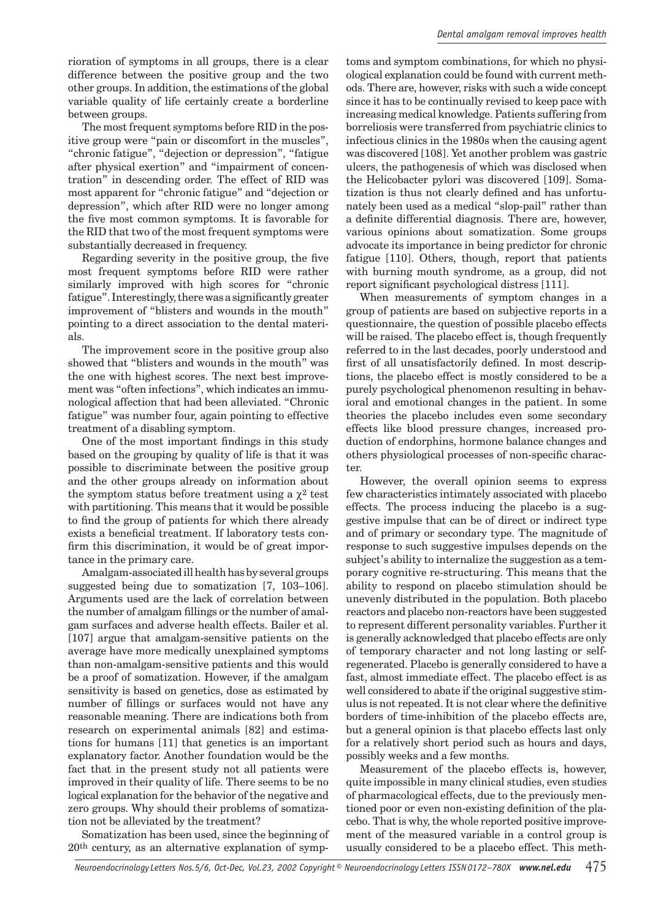rioration of symptoms in all groups, there is a clear difference between the positive group and the two other groups. In addition, the estimations of the global variable quality of life certainly create a borderline between groups.

The most frequent symptoms before RID in the positive group were "pain or discomfort in the muscles", "chronic fatigue", "dejection or depression", "fatigue after physical exertion" and "impairment of concentration" in descending order. The effect of RID was most apparent for "chronic fatigue" and "dejection or depression", which after RID were no longer among the five most common symptoms. It is favorable for the RID that two of the most frequent symptoms were substantially decreased in frequency.

Regarding severity in the positive group, the five most frequent symptoms before RID were rather similarly improved with high scores for "chronic fatigue". Interestingly, there was a significantly greater improvement of "blisters and wounds in the mouth" pointing to a direct association to the dental materials.

The improvement score in the positive group also showed that "blisters and wounds in the mouth" was the one with highest scores. The next best improvement was "often infections", which indicates an immunological affection that had been alleviated. "Chronic fatigue" was number four, again pointing to effective treatment of a disabling symptom.

One of the most important findings in this study based on the grouping by quality of life is that it was possible to discriminate between the positive group and the other groups already on information about the symptom status before treatment using a  $\chi^2$  test with partitioning. This means that it would be possible to find the group of patients for which there already exists a beneficial treatment. If laboratory tests confirm this discrimination, it would be of great importance in the primary care.

Amalgam-associated ill health has by several groups suggested being due to somatization [7, 103–106]. Arguments used are the lack of correlation between the number of amalgam fillings or the number of amalgam surfaces and adverse health effects. Bailer et al. [107] argue that amalgam-sensitive patients on the average have more medically unexplained symptoms than non-amalgam-sensitive patients and this would be a proof of somatization. However, if the amalgam sensitivity is based on genetics, dose as estimated by number of fillings or surfaces would not have any reasonable meaning. There are indications both from research on experimental animals [82] and estimations for humans [11] that genetics is an important explanatory factor. Another foundation would be the fact that in the present study not all patients were improved in their quality of life. There seems to be no logical explanation for the behavior of the negative and zero groups. Why should their problems of somatization not be alleviated by the treatment?

Somatization has been used, since the beginning of 20th century, as an alternative explanation of symp-

toms and symptom combinations, for which no physiological explanation could be found with current methods. There are, however, risks with such a wide concept since it has to be continually revised to keep pace with increasing medical knowledge. Patients suffering from borreliosis were transferred from psychiatric clinics to infectious clinics in the 1980s when the causing agent was discovered [108]. Yet another problem was gastric ulcers, the pathogenesis of which was disclosed when the Helicobacter pylori was discovered [109]. Somatization is thus not clearly defined and has unfortunately been used as a medical "slop-pail" rather than a definite differential diagnosis. There are, however, various opinions about somatization. Some groups advocate its importance in being predictor for chronic fatigue [110]. Others, though, report that patients with burning mouth syndrome, as a group, did not report significant psychological distress [111].

When measurements of symptom changes in a group of patients are based on subjective reports in a questionnaire, the question of possible placebo effects will be raised. The placebo effect is, though frequently referred to in the last decades, poorly understood and first of all unsatisfactorily defined. In most descriptions, the placebo effect is mostly considered to be a purely psychological phenomenon resulting in behavioral and emotional changes in the patient. In some theories the placebo includes even some secondary effects like blood pressure changes, increased production of endorphins, hormone balance changes and others physiological processes of non-specific character.

However, the overall opinion seems to express few characteristics intimately associated with placebo effects. The process inducing the placebo is a suggestive impulse that can be of direct or indirect type and of primary or secondary type. The magnitude of response to such suggestive impulses depends on the subject's ability to internalize the suggestion as a temporary cognitive re-structuring. This means that the ability to respond on placebo stimulation should be unevenly distributed in the population. Both placebo reactors and placebo non-reactors have been suggested to represent different personality variables. Further it is generally acknowledged that placebo effects are only of temporary character and not long lasting or selfregenerated. Placebo is generally considered to have a fast, almost immediate effect. The placebo effect is as well considered to abate if the original suggestive stimulus is not repeated. It is not clear where the definitive borders of time-inhibition of the placebo effects are, but a general opinion is that placebo effects last only for a relatively short period such as hours and days, possibly weeks and a few months.

Measurement of the placebo effects is, however, quite impossible in many clinical studies, even studies of pharmacological effects, due to the previously mentioned poor or even non-existing definition of the placebo. That is why, the whole reported positive improvement of the measured variable in a control group is usually considered to be a placebo effect. This meth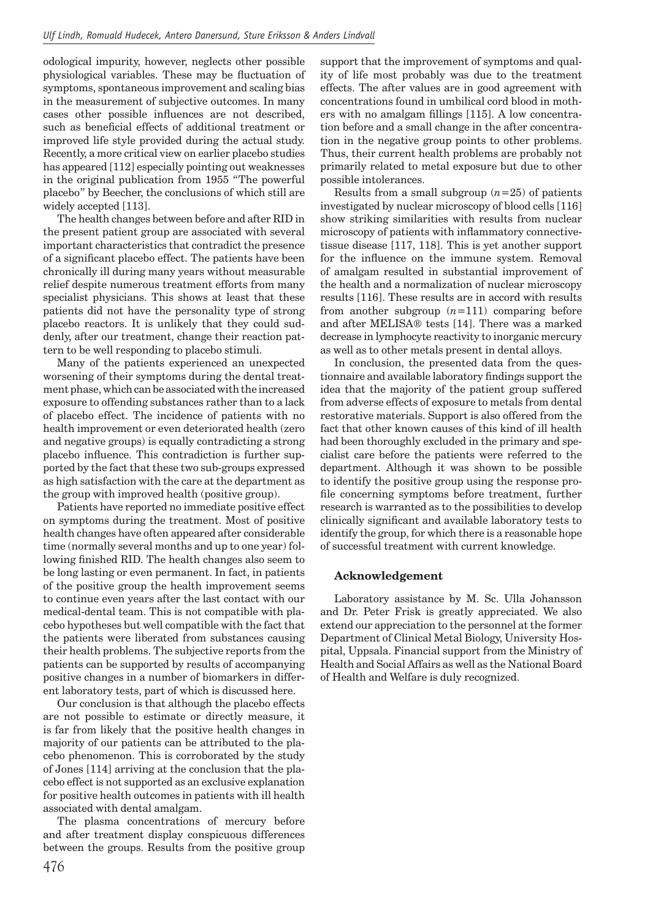odological impurity, however, neglects other possible physiological variables. These may be fluctuation of symptoms, spontaneous improvement and scaling bias in the measurement of subjective outcomes. In many cases other possible influences are not described, such as beneficial effects of additional treatment or improved life style provided during the actual study. Recently, a more critical view on earlier placebo studies has appeared [112] especially pointing out weaknesses in the original publication from 1955 "The powerful placebo" by Beecher, the conclusions of which still are widely accepted [113].

The health changes between before and after RID in the present patient group are associated with several important characteristics that contradict the presence of a significant placebo effect. The patients have been chronically ill during many years without measurable relief despite numerous treatment efforts from many specialist physicians. This shows at least that these patients did not have the personality type of strong placebo reactors. It is unlikely that they could suddenly, after our treatment, change their reaction pattern to be well responding to placebo stimuli.

Many of the patients experienced an unexpected worsening of their symptoms during the dental treatment phase, which can be associated with the increased exposure to offending substances rather than to a lack of placebo effect. The incidence of patients with no health improvement or even deteriorated health (zero and negative groups) is equally contradicting a strong placebo influence. This contradiction is further supported by the fact that these two sub-groups expressed as high satisfaction with the care at the department as the group with improved health (positive group).

Patients have reported no immediate positive effect on symptoms during the treatment. Most of positive health changes have often appeared after considerable time (normally several months and up to one year) following finished RID. The health changes also seem to be long lasting or even permanent. In fact, in patients of the positive group the health improvement seems to continue even years after the last contact with our medical-dental team. This is not compatible with placebo hypotheses but well compatible with the fact that the patients were liberated from substances causing their health problems. The subjective reports from the patients can be supported by results of accompanying positive changes in a number of biomarkers in different laboratory tests, part of which is discussed here.

Our conclusion is that although the placebo effects are not possible to estimate or directly measure, it is far from likely that the positive health changes in majority of our patients can be attributed to the placebo phenomenon. This is corroborated by the study of Jones [114] arriving at the conclusion that the placebo effect is not supported as an exclusive explanation for positive health outcomes in patients with ill health associated with dental amalgam.

The plasma concentrations of mercury before and after treatment display conspicuous differences between the groups. Results from the positive group

476

support that the improvement of symptoms and quality of life most probably was due to the treatment effects. The after values are in good agreement with concentrations found in umbilical cord blood in mothers with no amalgam fillings  $[115]$ . A low concentration before and a small change in the after concentration in the negative group points to other problems. Thus, their current health problems are probably not primarily related to metal exposure but due to other possible intolerances.

Results from a small subgroup  $(n=25)$  of patients investigated by nuclear microscopy of blood cells [116] show striking similarities with results from nuclear microscopy of patients with inflammatory connectivetissue disease [117, 118]. This is yet another support for the influence on the immune system. Removal of amalgam resulted in substantial improvement of the health and a normalization of nuclear microscopy results [116]. These results are in accord with results from another subgroup  $(n=111)$  comparing before and after MELISA® tests [14]. There was a marked decrease in lymphocyte reactivity to inorganic mercury as well as to other metals present in dental alloys.

In conclusion, the presented data from the questionnaire and available laboratory findings support the idea that the majority of the patient group suffered from adverse effects of exposure to metals from dental restorative materials. Support is also offered from the fact that other known causes of this kind of ill health had been thoroughly excluded in the primary and specialist care before the patients were referred to the department. Although it was shown to be possible to identify the positive group using the response profile concerning symptoms before treatment, further research is warranted as to the possibilities to develop clinically significant and available laboratory tests to identify the group, for which there is a reasonable hope of successful treatment with current knowledge.

#### **Acknowledgement**

Laboratory assistance by M. Sc. Ulla Johansson and Dr. Peter Frisk is greatly appreciated. We also extend our appreciation to the personnel at the former Department of Clinical Metal Biology, University Hospital, Uppsala. Financial support from the Ministry of Health and Social Affairs as well as the National Board of Health and Welfare is duly recognized.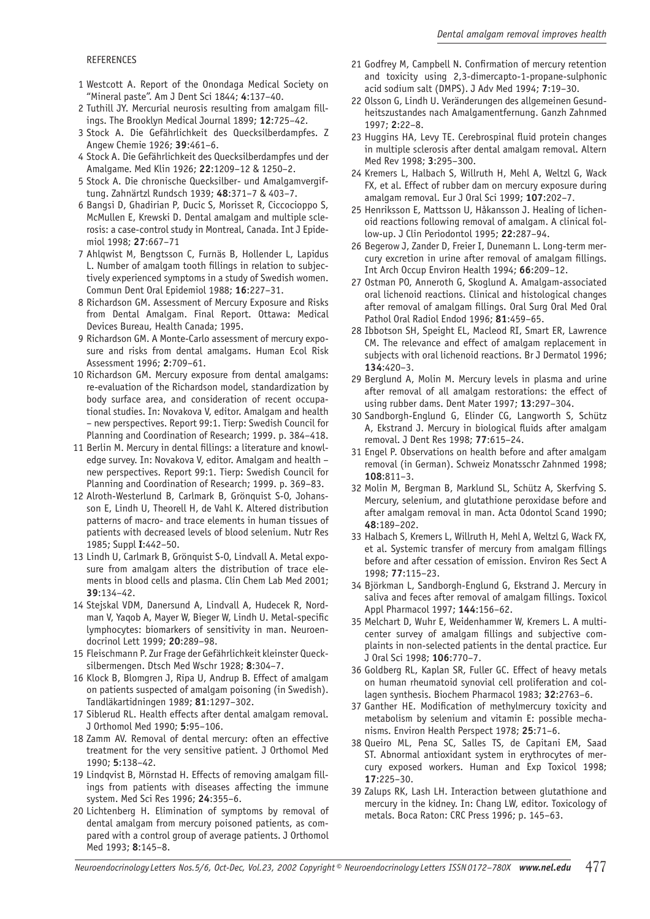#### REFERENCES

- 1 Westcott A. Report of the Onondaga Medical Society on "Mineral paste". Am J Dent Sci 1844; **4**:137–40.
- 2 Tuthill JY. Mercurial neurosis resulting from amalgam fillings. The Brooklyn Medical Journal 1899; **12**:725–42.
- 3 Stock A. Die Gefährlichkeit des Quecksilberdampfes. Z Angew Chemie 1926; **39**:461–6.
- 4 Stock A. Die Gefährlichkeit des Quecksilberdampfes und der Amalgame. Med Klin 1926; **22**:1209–12 & 1250–2.
- 5 Stock A. Die chronische Quecksilber- und Amalgamvergiftung. Zahnärtzl Rundsch 1939; **48**:371–7 & 403–7.
- 6 Bangsi D, Ghadirian P, Ducic S, Morisset R, Ciccocioppo S, McMullen E, Krewski D. Dental amalgam and multiple sclerosis: a case-control study in Montreal, Canada. Int J Epidemiol 1998; **27**:667–71
- 7 Ahlqwist M, Bengtsson C, Furnäs B, Hollender L, Lapidus L. Number of amalgam tooth fillings in relation to subjectively experienced symptoms in a study of Swedish women. Commun Dent Oral Epidemiol 1988; **16**:227–31.
- 8 Richardson GM. Assessment of Mercury Exposure and Risks from Dental Amalgam. Final Report. Ottawa: Medical Devices Bureau, Health Canada; 1995.
- 9 Richardson GM. A Monte-Carlo assessment of mercury exposure and risks from dental amalgams. Human Ecol Risk Assessment 1996; **2**:709–61.
- 10 Richardson GM. Mercury exposure from dental amalgams: re-evaluation of the Richardson model, standardization by body surface area, and consideration of recent occupational studies. In: Novakova V, editor. Amalgam and health – new perspectives. Report 99:1. Tierp: Swedish Council for Planning and Coordination of Research; 1999. p. 384–418.
- 11 Berlin M. Mercury in dental fillings: a literature and knowledge survey. In: Novakova V, editor. Amalgam and health – new perspectives. Report 99:1. Tierp: Swedish Council for Planning and Coordination of Research; 1999. p. 369–83.
- 12 Alroth-Westerlund B, Carlmark B, Grönquist S-O, Johansson E, Lindh U, Theorell H, de Vahl K. Altered distribution patterns of macro- and trace elements in human tissues of patients with decreased levels of blood selenium. Nutr Res 1985; Suppl **I**:442–50.
- 13 Lindh U, Carlmark B, Grönquist S-O, Lindvall A. Metal exposure from amalgam alters the distribution of trace elements in blood cells and plasma. Clin Chem Lab Med 2001; **39**:134–42.
- 14 Stejskal VDM, Danersund A, Lindvall A, Hudecek R, Nordman V, Yaqob A, Mayer W, Bieger W, Lindh U. Metal-specific lymphocytes: biomarkers of sensitivity in man. Neuroendocrinol Lett 1999; **20**:289–98.
- 15 Fleischmann P. Zur Frage der Gefährlichkeit kleinster Quecksilbermengen. Dtsch Med Wschr 1928; **8**:304–7.
- 16 Klock B, Blomgren J, Ripa U, Andrup B. Effect of amalgam on patients suspected of amalgam poisoning (in Swedish). Tandläkartidningen 1989; **81**:1297–302.
- 17 Siblerud RL. Health effects after dental amalgam removal. J Orthomol Med 1990; **5**:95–106.
- 18 Zamm AV. Removal of dental mercury: often an effective treatment for the very sensitive patient. J Orthomol Med 1990; **5**:138–42.
- 19 Lindqvist B, Mörnstad H. Effects of removing amalgam fillings from patients with diseases affecting the immune system. Med Sci Res 1996; **24**:355–6.
- 20 Lichtenberg H. Elimination of symptoms by removal of dental amalgam from mercury poisoned patients, as compared with a control group of average patients. J Orthomol Med 1993; **8**:145–8.
- 21 Godfrey M, Campbell N. Confirmation of mercury retention and toxicity using 2,3-dimercapto-1-propane-sulphonic acid sodium salt (DMPS). J Adv Med 1994; **7**:19–30.
- 22 Olsson G, Lindh U. Veränderungen des allgemeinen Gesundheitszustandes nach Amalgamentfernung. Ganzh Zahnmed 1997; **2**:22–8.
- 23 Huggins HA, Levy TE. Cerebrospinal fluid protein changes in multiple sclerosis after dental amalgam removal. Altern Med Rev 1998; **3**:295–300.
- 24 Kremers L, Halbach S, Willruth H, Mehl A, Weltzl G, Wack FX, et al. Effect of rubber dam on mercury exposure during amalgam removal. Eur J Oral Sci 1999; **107**:202–7.
- 25 Henriksson E, Mattsson U, Håkansson J. Healing of lichenoid reactions following removal of amalgam. A clinical follow-up. J Clin Periodontol 1995; **22**:287–94.
- 26 Begerow J, Zander D, Freier I, Dunemann L. Long-term mercury excretion in urine after removal of amalgam fillings. Int Arch Occup Environ Health 1994; **66**:209–12.
- 27 Ostman PO, Anneroth G, Skoglund A. Amalgam-associated oral lichenoid reactions. Clinical and histological changes after removal of amalgam fillings. Oral Surg Oral Med Oral Pathol Oral Radiol Endod 1996; **81**:459–65.
- 28 Ibbotson SH, Speight EL, Macleod RI, Smart ER, Lawrence CM. The relevance and effect of amalgam replacement in subjects with oral lichenoid reactions. Br J Dermatol 1996; **134**:420–3.
- 29 Berglund A, Molin M. Mercury levels in plasma and urine after removal of all amalgam restorations: the effect of using rubber dams. Dent Mater 1997; **13**:297–304.
- 30 Sandborgh-Englund G, Elinder CG, Langworth S, Schütz A, Ekstrand J. Mercury in biological fluids after amalgam removal. J Dent Res 1998; **77**:615–24.
- 31 Engel P. Observations on health before and after amalgam removal (in German). Schweiz Monatsschr Zahnmed 1998; **108**:811–3.
- 32 Molin M, Bergman B, Marklund SL, Schütz A, Skerfving S. Mercury, selenium, and glutathione peroxidase before and after amalgam removal in man. Acta Odontol Scand 1990; **48**:189–202.
- 33 Halbach S, Kremers L, Willruth H, Mehl A, Weltzl G, Wack FX, et al. Systemic transfer of mercury from amalgam fillings before and after cessation of emission. Environ Res Sect A 1998; **77**:115–23.
- 34 Björkman L, Sandborgh-Englund G, Ekstrand J. Mercury in saliva and feces after removal of amalgam fillings. Toxicol Appl Pharmacol 1997; **144**:156–62.
- 35 Melchart D, Wuhr E, Weidenhammer W, Kremers L. A multicenter survey of amalgam fillings and subjective complaints in non-selected patients in the dental practice. Eur J Oral Sci 1998; **106**:770–7.
- 36 Goldberg RL, Kaplan SR, Fuller GC. Effect of heavy metals on human rheumatoid synovial cell proliferation and collagen synthesis. Biochem Pharmacol 1983; **32**:2763–6.
- 37 Ganther HE. Modification of methylmercury toxicity and metabolism by selenium and vitamin E: possible mechanisms. Environ Health Perspect 1978; **25**:71–6.
- 38 Queiro ML, Pena SC, Salles TS, de Capitani EM, Saad ST. Abnormal antioxidant system in erythrocytes of mercury exposed workers. Human and Exp Toxicol 1998; **17**:225–30.
- 39 Zalups RK, Lash LH. Interaction between glutathione and mercury in the kidney. In: Chang LW, editor. Toxicology of metals. Boca Raton: CRC Press 1996; p. 145–63.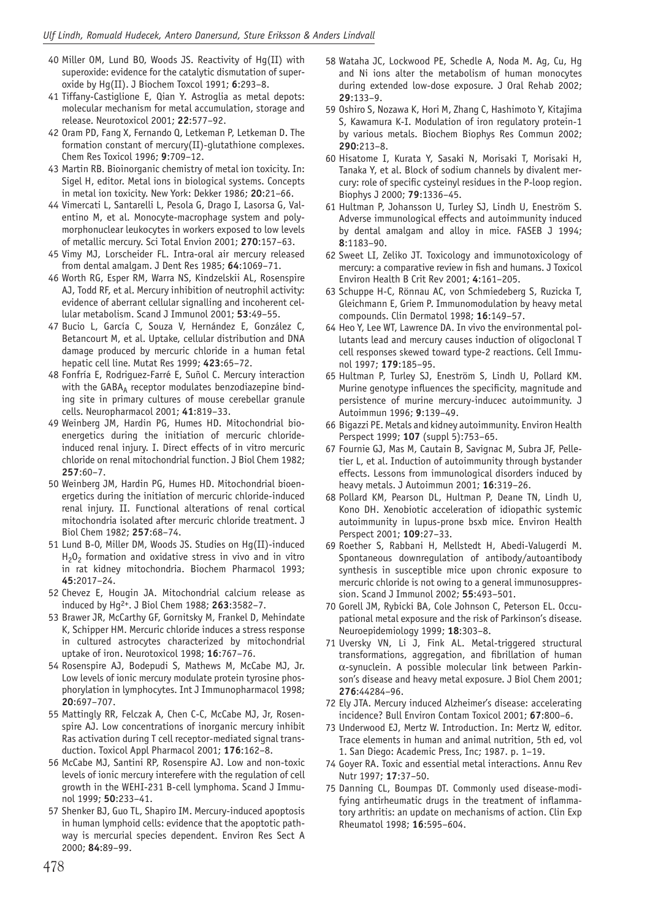- 40 Miller OM, Lund BO, Woods JS. Reactivity of Hg(II) with superoxide: evidence for the catalytic dismutation of superoxide by Hg(II). J Biochem Toxcol 1991; **6**:293–8.
- 41 Tiffany-Castiglione E, Qian Y. Astroglia as metal depots: molecular mechanism for metal accumulation, storage and release. Neurotoxicol 2001; **22**:577–92.
- 42 Oram PD, Fang X, Fernando Q, Letkeman P, Letkeman D. The formation constant of mercury(II)-glutathione complexes. Chem Res Toxicol 1996; **9**:709–12.
- 43 Martin RB. Bioinorganic chemistry of metal ion toxicity. In: Sigel H, editor. Metal ions in biological systems. Concepts in metal ion toxicity. New York: Dekker 1986; **20**:21–66.
- 44 Vimercati L, Santarelli L, Pesola G, Drago I, Lasorsa G, Valentino M, et al. Monocyte-macrophage system and polymorphonuclear leukocytes in workers exposed to low levels of metallic mercury. Sci Total Envion 2001; **270**:157–63.
- 45 Vimy MJ, Lorscheider FL. Intra-oral air mercury released from dental amalgam. J Dent Res 1985; **64**:1069–71.
- 46 Worth RG, Esper RM, Warra NS, Kindzelskii AL, Rosenspire AJ, Todd RF, et al. Mercury inhibition of neutrophil activity: evidence of aberrant cellular signalling and incoherent cellular metabolism. Scand J Immunol 2001; **53**:49–55.
- 47 Bucio L, García C, Souza V, Hernández E, González C, Betancourt M, et al. Uptake, cellular distribution and DNA damage produced by mercuric chloride in a human fetal hepatic cell line. Mutat Res 1999; **423**:65–72.
- 48 Fonfría E, Rodriguez-Farré E, Suñol C. Mercury interaction with the  $GABA_A$  receptor modulates benzodiazepine binding site in primary cultures of mouse cerebellar granule cells. Neuropharmacol 2001; **41**:819–33.
- 49 Weinberg JM, Hardin PG, Humes HD. Mitochondrial bioenergetics during the initiation of mercuric chlorideinduced renal injury. I. Direct effects of in vitro mercuric chloride on renal mitochondrial function. J Biol Chem 1982; **257**:60–7.
- 50 Weinberg JM, Hardin PG, Humes HD. Mitochondrial bioenergetics during the initiation of mercuric chloride-induced renal injury. II. Functional alterations of renal cortical mitochondria isolated after mercuric chloride treatment. J Biol Chem 1982; **257**:68–74.
- 51 Lund B-O, Miller DM, Woods JS. Studies on Hg(II)-induced  $H<sub>2</sub>O<sub>2</sub>$  formation and oxidative stress in vivo and in vitro in rat kidney mitochondria. Biochem Pharmacol 1993; **45**:2017–24.
- 52 Chevez E, Hougin JA. Mitochondrial calcium release as induced by Hg2+. J Biol Chem 1988; **263**:3582–7.
- 53 Brawer JR, McCarthy GF, Gornitsky M, Frankel D, Mehindate K, Schipper HM. Mercuric chloride induces a stress response in cultured astrocytes characterized by mitochondrial uptake of iron. Neurotoxicol 1998; **16**:767–76.
- 54 Rosenspire AJ, Bodepudi S, Mathews M, McCabe MJ, Jr. Low levels of ionic mercury modulate protein tyrosine phosphorylation in lymphocytes. Int J Immunopharmacol 1998; **20**:697–707.
- 55 Mattingly RR, Felczak A, Chen C-C, McCabe MJ, Jr, Rosenspire AJ. Low concentrations of inorganic mercury inhibit Ras activation during T cell receptor-mediated signal transduction. Toxicol Appl Pharmacol 2001; **176**:162–8.
- 56 McCabe MJ, Santini RP, Rosenspire AJ. Low and non-toxic levels of ionic mercury interefere with the regulation of cell growth in the WEHI-231 B-cell lymphoma. Scand J Immunol 1999; **50**:233–41.
- 57 Shenker BJ, Guo TL, Shapiro IM. Mercury-induced apoptosis in human lymphoid cells: evidence that the apoptotic pathway is mercurial species dependent. Environ Res Sect A 2000; **84**:89–99.
- 58 Wataha JC, Lockwood PE, Schedle A, Noda M. Ag, Cu, Hg and Ni ions alter the metabolism of human monocytes during extended low-dose exposure. J Oral Rehab 2002; **29**:133–9.
- 59 Oshiro S, Nozawa K, Hori M, Zhang C, Hashimoto Y, Kitajima S, Kawamura K-I. Modulation of iron regulatory protein-1 by various metals. Biochem Biophys Res Commun 2002; **290**:213–8.
- 60 Hisatome I, Kurata Y, Sasaki N, Morisaki T, Morisaki H, Tanaka Y, et al. Block of sodium channels by divalent mercury: role of specific cysteinyl residues in the P-loop region. Biophys J 2000; **79**:1336–45.
- 61 Hultman P, Johansson U, Turley SJ, Lindh U, Eneström S. Adverse immunological effects and autoimmunity induced by dental amalgam and alloy in mice. FASEB J 1994; **8**:1183–90.
- 62 Sweet LI, Zeliko JT. Toxicology and immunotoxicology of mercury: a comparative review in fish and humans. J Toxicol Environ Health B Crit Rev 2001; **4**:161–205.
- 63 Schuppe H-C, Rönnau AC, von Schmiedeberg S, Ruzicka T, Gleichmann E, Griem P. Immunomodulation by heavy metal compounds. Clin Dermatol 1998; **16**:149–57.
- 64 Heo Y, Lee WT, Lawrence DA. In vivo the environmental pollutants lead and mercury causes induction of oligoclonal T cell responses skewed toward type-2 reactions. Cell Immunol 1997; **179**:185–95.
- 65 Hultman P, Turley SJ, Eneström S, Lindh U, Pollard KM. Murine genotype influences the specificity, magnitude and persistence of murine mercury-inducec autoimmunity. J Autoimmun 1996; **9**:139–49.
- 66 Bigazzi PE. Metals and kidney autoimmunity. Environ Health Perspect 1999; **107** (suppl 5):753–65.
- 67 Fournie GJ, Mas M, Cautain B, Savignac M, Subra JF, Pelletier L, et al. Induction of autoimmunity through bystander effects. Lessons from immunological disorders induced by heavy metals. J Autoimmun 2001; **16**:319–26.
- 68 Pollard KM, Pearson DL, Hultman P, Deane TN, Lindh U, Kono DH. Xenobiotic acceleration of idiopathic systemic autoimmunity in lupus-prone bsxb mice. Environ Health Perspect 2001; **109**:27–33.
- 69 Roether S, Rabbani H, Mellstedt H, Abedi-Valugerdi M. Spontaneous downregulation of antibody/autoantibody synthesis in susceptible mice upon chronic exposure to mercuric chloride is not owing to a general immunosuppression. Scand J Immunol 2002; **55**:493–501.
- 70 Gorell JM, Rybicki BA, Cole Johnson C, Peterson EL. Occupational metal exposure and the risk of Parkinson's disease. Neuroepidemiology 1999; **18**:303–8.
- 71 Uversky VN, Li J, Fink AL. Metal-triggered structural transformations, aggregation, and fibrillation of human α-synuclein. A possible molecular link between Parkinson's disease and heavy metal exposure. J Biol Chem 2001; **276**:44284–96.
- 72 Ely JTA. Mercury induced Alzheimer's disease: accelerating incidence? Bull Environ Contam Toxicol 2001; **67**:800–6.
- 73 Underwood EJ, Mertz W. Introduction. In: Mertz W, editor. Trace elements in human and animal nutrition, 5th ed, vol 1. San Diego: Academic Press, Inc; 1987. p. 1–19.
- 74 Goyer RA. Toxic and essential metal interactions. Annu Rev Nutr 1997; **17**:37–50.
- 75 Danning CL, Boumpas DT. Commonly used disease-modifying antirheumatic drugs in the treatment of inflammatory arthritis: an update on mechanisms of action. Clin Exp Rheumatol 1998; **16**:595–604.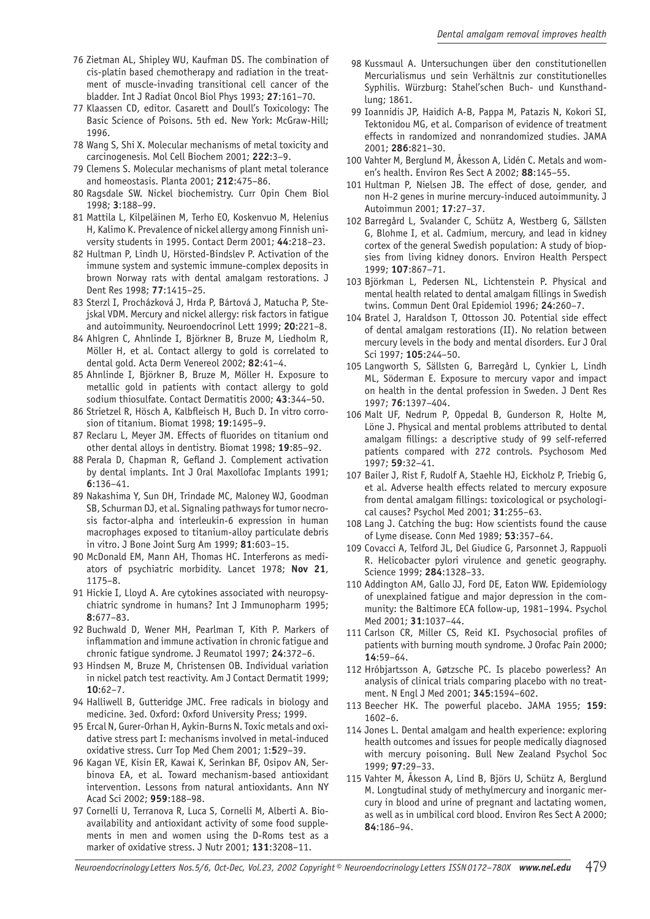- 76 Zietman AL, Shipley WU, Kaufman DS. The combination of cis-platin based chemotherapy and radiation in the treatment of muscle-invading transitional cell cancer of the bladder. Int J Radiat Oncol Biol Phys 1993; **27**:161–70.
- 77 Klaassen CD, editor. Casarett and Doull's Toxicology: The Basic Science of Poisons. 5th ed. New York: McGraw-Hill; 1996.
- 78 Wang S, Shi X. Molecular mechanisms of metal toxicity and carcinogenesis. Mol Cell Biochem 2001; **222**:3–9.
- 79 Clemens S. Molecular mechanisms of plant metal tolerance and homeostasis. Planta 2001; **212**:475–86.
- 80 Ragsdale SW. Nickel biochemistry. Curr Opin Chem Biol 1998; **3**:188–99.
- 81 Mattila L, Kilpeläinen M, Terho EO, Koskenvuo M, Helenius H, Kalimo K. Prevalence of nickel allergy among Finnish university students in 1995. Contact Derm 2001; **44**:218–23.
- 82 Hultman P, Lindh U, Hörsted-Bindslev P. Activation of the immune system and systemic immune-complex deposits in brown Norway rats with dental amalgam restorations. J Dent Res 1998; **77**:1415–25.
- 83 Sterzl I, Procházková J, Hrda P, Bártová J, Matucha P, Stejskal VDM. Mercury and nickel allergy: risk factors in fatigue and autoimmunity. Neuroendocrinol Lett 1999; **20**:221–8.
- 84 Ahlgren C, Ahnlinde I, Björkner B, Bruze M, Liedholm R, Möller H, et al. Contact allergy to gold is correlated to dental gold. Acta Derm Venereol 2002; **82**:41–4.
- 85 Ahnlinde I, Björkner B, Bruze M, Möller H. Exposure to metallic gold in patients with contact allergy to gold sodium thiosulfate. Contact Dermatitis 2000; **43**:344–50.
- 86 Strietzel R, Hösch A, Kalbfleisch H, Buch D. In vitro corrosion of titanium. Biomat 1998; **19**:1495–9.
- 87 Reclaru L, Meyer JM. Effects of fluorides on titanium ond other dental alloys in dentistry. Biomat 1998; **19**:85–92.
- 88 Perala D, Chapman R, Gefland J. Complement activation by dental implants. Int J Oral Maxollofac Implants 1991; **6**:136–41.
- 89 Nakashima Y, Sun DH, Trindade MC, Maloney WJ, Goodman SB, Schurman DJ, et al. Signaling pathways for tumor necrosis factor-alpha and interleukin-6 expression in human macrophages exposed to titanium-alloy particulate debris in vitro. J Bone Joint Surg Am 1999; **81**:603–15.
- 90 McDonald EM, Mann AH, Thomas HC. Interferons as mediators of psychiatric morbidity. Lancet 1978; **Nov 21**, 1175–8.
- 91 Hickie I, Lloyd A. Are cytokines associated with neuropsychiatric syndrome in humans? Int J Immunopharm 1995; **8**:677–83.
- 92 Buchwald D, Wener MH, Pearlman T, Kith P. Markers of inflammation and immune activation in chronic fatigue and chronic fatigue syndrome. J Reumatol 1997; **24**:372–6.
- 93 Hindsen M, Bruze M, Christensen OB. Individual variation in nickel patch test reactivity. Am J Contact Dermatit 1999;  $10.62 - 7$
- 94 Halliwell B, Gutteridge JMC. Free radicals in biology and medicine. 3ed. Oxford: Oxford University Press; 1999.
- 95 Ercal N, Gurer-Orhan H, Aykin-Burns N. Toxic metals and oxidative stress part I: mechanisms involved in metal-induced oxidative stress. Curr Top Med Chem 2001; 1:**5**29–39.
- 96 Kagan VE, Kisin ER, Kawai K, Serinkan BF, Osipov AN, Serbinova EA, et al. Toward mechanism-based antioxidant intervention. Lessons from natural antioxidants. Ann NY Acad Sci 2002; **959**:188–98.
- 97 Cornelli U, Terranova R, Luca S, Cornelli M, Alberti A. Bioavailability and antioxidant activity of some food supplements in men and women using the D-Roms test as a marker of oxidative stress. J Nutr 2001; **131**:3208–11.
- 98 Kussmaul A. Untersuchungen über den constitutionellen Mercurialismus und sein Verhältnis zur constitutionelles Syphilis. Würzburg: Stahel'schen Buch- und Kunsthandlung; 1861.
- 99 Ioannidis JP, Haidich A-B, Pappa M, Patazis N, Kokori SI, Tektonidou MG, et al. Comparison of evidence of treatment effects in randomized and nonrandomized studies. JAMA 2001; **286**:821–30.
- 100 Vahter M, Berglund M, Åkesson A, Lidén C. Metals and women's health. Environ Res Sect A 2002; **88**:145–55.
- 101 Hultman P, Nielsen JB. The effect of dose, gender, and non H-2 genes in murine mercury-induced autoimmunity. J Autoimmun 2001; **17**:27–37.
- 102 Barregård L, Svalander C, Schütz A, Westberg G, Sällsten G, Blohme I, et al. Cadmium, mercury, and lead in kidney cortex of the general Swedish population: A study of biopsies from living kidney donors. Environ Health Perspect 1999; **107**:867–71.
- 103 Björkman L, Pedersen NL, Lichtenstein P. Physical and mental health related to dental amalgam fillings in Swedish twins. Commun Dent Oral Epidemiol 1996; **24**:260–7.
- 104 Bratel J, Haraldson T, Ottosson JO. Potential side effect of dental amalgam restorations (II). No relation between mercury levels in the body and mental disorders. Eur J Oral Sci 1997; **105**:244–50.
- 105 Langworth S, Sällsten G, Barregård L, Cynkier L, Lindh ML, Söderman E. Exposure to mercury vapor and impact on health in the dental profession in Sweden. J Dent Res 1997; **76**:1397–404.
- 106 Malt UF, Nedrum P, Oppedal B, Gunderson R, Holte M, Löne J. Physical and mental problems attributed to dental amalgam fillings: a descriptive study of 99 self-referred patients compared with 272 controls. Psychosom Med 1997; **59**:32–41.
- 107 Bailer J, Rist F, Rudolf A, Staehle HJ, Eickholz P, Triebig G, et al. Adverse health effects related to mercury exposure from dental amalgam fillings: toxicological or psychological causes? Psychol Med 2001; **31**:255–63.
- 108 Lang J. Catching the bug: How scientists found the cause of Lyme disease. Conn Med 1989; **53**:357–64.
- 109 Covacci A, Telford JL, Del Giudice G, Parsonnet J, Rappuoli R. Helicobacter pylori virulence and genetic geography. Science 1999; **284**:1328–33.
- 110 Addington AM, Gallo JJ, Ford DE, Eaton WW. Epidemiology of unexplained fatigue and major depression in the community: the Baltimore ECA follow-up, 1981–1994. Psychol Med 2001; **31**:1037–44.
- 111 Carlson CR, Miller CS, Reid KI. Psychosocial profiles of patients with burning mouth syndrome. J Orofac Pain 2000; **14**:59–64.
- 112 Hróbjartsson A, Gøtzsche PC. Is placebo powerless? An analysis of clinical trials comparing placebo with no treatment. N Engl J Med 2001; **345**:1594–602.
- 113 Beecher HK. The powerful placebo. JAMA 1955; **159**: 1602–6.
- 114 Jones L. Dental amalgam and health experience: exploring health outcomes and issues for people medically diagnosed with mercury poisoning. Bull New Zealand Psychol Soc 1999; **97**:29–33.
- 115 Vahter M, Åkesson A, Lind B, Björs U, Schütz A, Berglund M. Longtudinal study of methylmercury and inorganic mercury in blood and urine of pregnant and lactating women, as well as in umbilical cord blood. Environ Res Sect A 2000; **84**:186–94.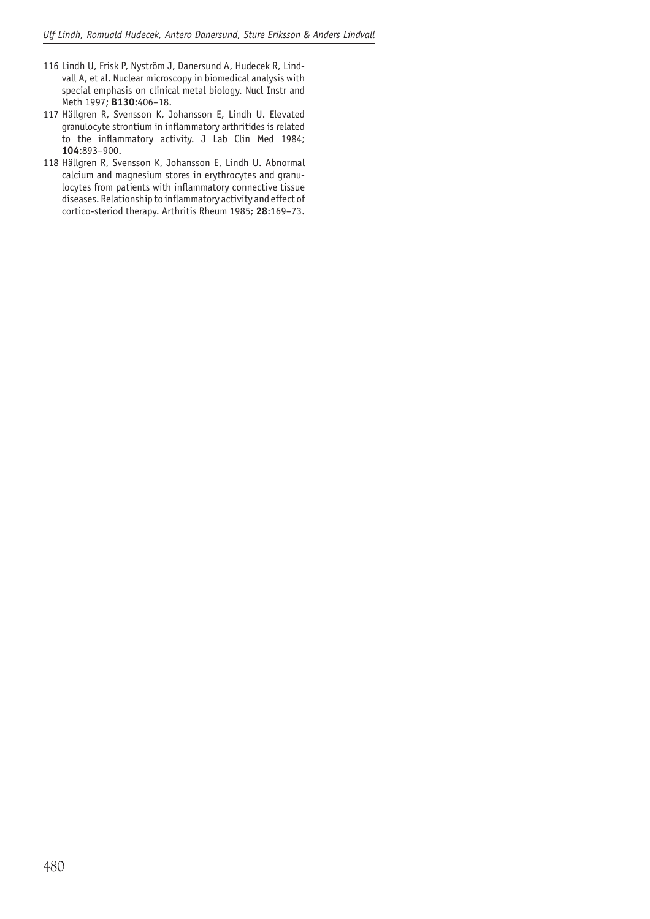- 116 Lindh U, Frisk P, Nyström J, Danersund A, Hudecek R, Lindvall A, et al. Nuclear microscopy in biomedical analysis with special emphasis on clinical metal biology. Nucl Instr and Meth 1997; **B130**:406–18.
- 117 Hällgren R, Svensson K, Johansson E, Lindh U. Elevated granulocyte strontium in inflammatory arthritides is related to the inflammatory activity. J Lab Clin Med 1984; **104**:893–900.
- 118 Hällgren R, Svensson K, Johansson E, Lindh U. Abnormal calcium and magnesium stores in erythrocytes and granulocytes from patients with inflammatory connective tissue diseases. Relationship to inflammatory activity and effect of cortico-steriod therapy. Arthritis Rheum 1985; **28**:169–73.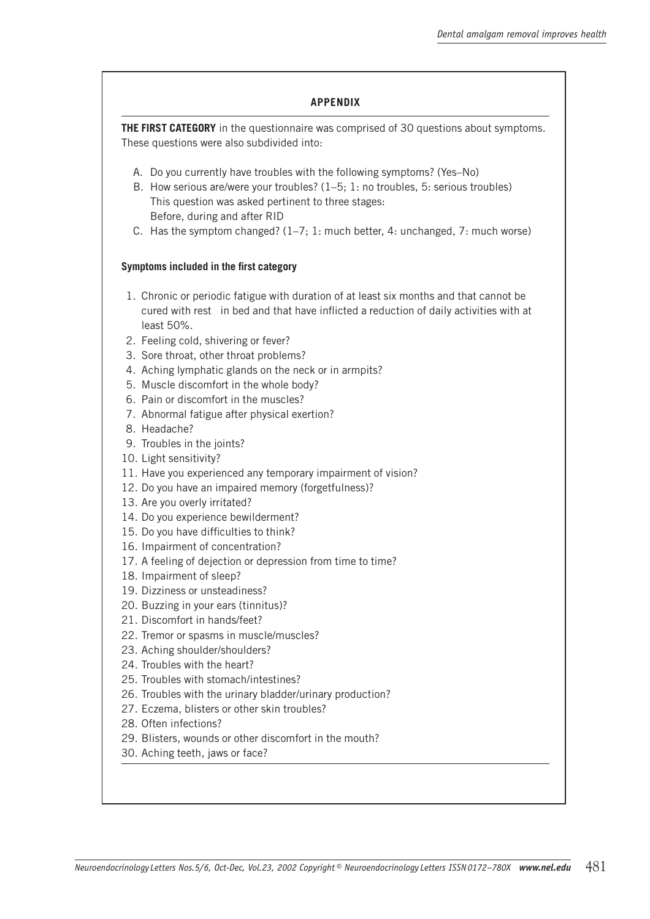#### **APPENDIX**

**THE FIRST CATEGORY** in the questionnaire was comprised of 30 questions about symptoms. These questions were also subdivided into:

- A. Do you currently have troubles with the following symptoms? (Yes–No)
- B. How serious are/were your troubles? (1–5; 1: no troubles, 5: serious troubles) This question was asked pertinent to three stages: Before, during and after RID
- C. Has the symptom changed? (1–7; 1: much better, 4: unchanged, 7: much worse)

#### **Symptoms included in the first category**

- 1. Chronic or periodic fatigue with duration of at least six months and that cannot be cured with rest in bed and that have inflicted a reduction of daily activities with at least 50%.
- 2. Feeling cold, shivering or fever?
- 3. Sore throat, other throat problems?
- 4. Aching lymphatic glands on the neck or in armpits?
- 5. Muscle discomfort in the whole body?
- 6. Pain or discomfort in the muscles?
- 7. Abnormal fatigue after physical exertion?
- 8. Headache?
- 9. Troubles in the joints?
- 10. Light sensitivity?
- 11. Have you experienced any temporary impairment of vision?
- 12. Do you have an impaired memory (forgetfulness)?
- 13. Are you overly irritated?
- 14. Do you experience bewilderment?
- 15. Do you have difficulties to think?
- 16. Impairment of concentration?
- 17. A feeling of dejection or depression from time to time?
- 18. Impairment of sleep?
- 19. Dizziness or unsteadiness?
- 20. Buzzing in your ears (tinnitus)?
- 21. Discomfort in hands/feet?
- 22. Tremor or spasms in muscle/muscles?
- 23. Aching shoulder/shoulders?
- 24. Troubles with the heart?
- 25. Troubles with stomach/intestines?
- 26. Troubles with the urinary bladder/urinary production?
- 27. Eczema, blisters or other skin troubles?
- 28. Often infections?
- 29. Blisters, wounds or other discomfort in the mouth?
- 30. Aching teeth, jaws or face?